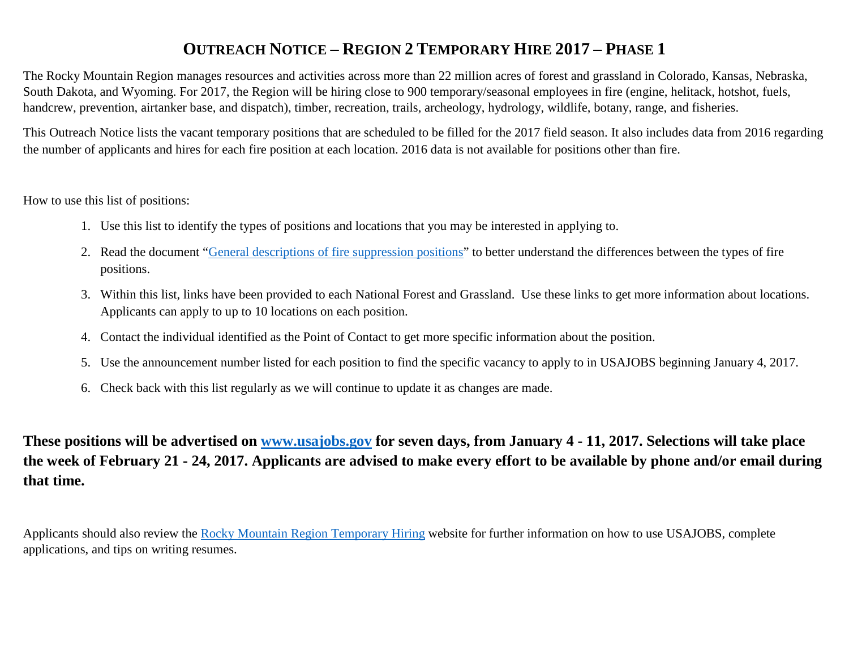# <span id="page-0-0"></span>**OUTREACH NOTICE – REGION 2 TEMPORARY HIRE 2017 – PHASE 1**

The Rocky Mountain Region manages resources and activities across more than 22 million acres of forest and grassland in Colorado, Kansas, Nebraska, South Dakota, and Wyoming. For 2017, the Region will be hiring close to 900 temporary/seasonal employees in fire (engine, helitack, hotshot, fuels, handcrew, prevention, airtanker base, and dispatch), timber, recreation, trails, archeology, hydrology, wildlife, botany, range, and fisheries.

This Outreach Notice lists the vacant temporary positions that are scheduled to be filled for the 2017 field season. It also includes data from 2016 regarding the number of applicants and hires for each fire position at each location. 2016 data is not available for positions other than fire.

How to use this list of positions:

- 1. Use this list to identify the types of positions and locations that you may be interested in applying to.
- 2. Read the document ["General descriptions of fire suppression positions"](http://www.fs.usda.gov/detail/r2/jobs/?cid=fseprd486932) to better understand the differences between the types of fire positions.
- 3. Within this list, links have been provided to each National Forest and Grassland. Use these links to get more information about locations. Applicants can apply to up to 10 locations on each position.
- 4. Contact the individual identified as the Point of Contact to get more specific information about the position.
- 5. Use the announcement number listed for each position to find the specific vacancy to apply to in USAJOBS beginning January 4, 2017.
- 6. Check back with this list regularly as we will continue to update it as changes are made.

**These positions will be advertised on [www.usajobs.gov](http://www.usajobs.gov/) for seven days, from January 4 - 11, 2017. Selections will take place the week of February 21 - 24, 2017. Applicants are advised to make every effort to be available by phone and/or email during that time.**

Applicants should also review the [Rocky Mountain Region Temporary Hiring](http://www.fs.usda.gov/detail/r2/jobs/?cid=fseprd479263) website for further information on how to use USAJOBS, complete applications, and tips on writing resumes.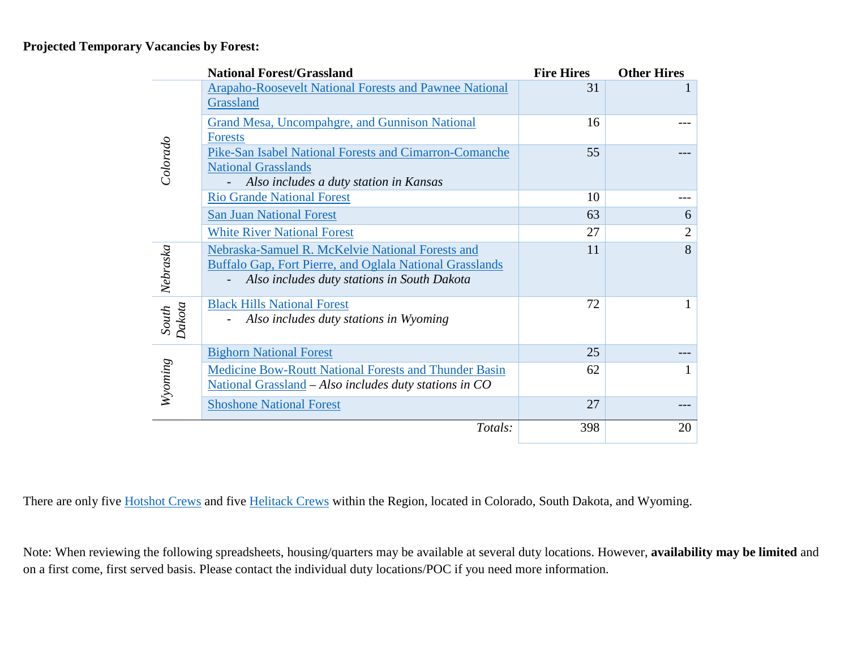#### **Projected Temporary Vacancies by Forest:**

|                 | <b>National Forest/Grassland</b>                                                                                                                                   | <b>Fire Hires</b> | <b>Other Hires</b> |
|-----------------|--------------------------------------------------------------------------------------------------------------------------------------------------------------------|-------------------|--------------------|
|                 | <b>Arapaho-Roosevelt National Forests and Pawnee National</b><br>Grassland                                                                                         | 31                |                    |
|                 | <b>Grand Mesa, Uncompahgre, and Gunnison National</b><br><b>Forests</b>                                                                                            | 16                |                    |
| Colorado        | Pike-San Isabel National Forests and Cimarron-Comanche<br><b>National Grasslands</b><br>Also includes a duty station in Kansas                                     | 55                |                    |
|                 | <b>Rio Grande National Forest</b>                                                                                                                                  | 10                |                    |
|                 | <b>San Juan National Forest</b>                                                                                                                                    | 63                | 6                  |
|                 | <b>White River National Forest</b>                                                                                                                                 | 27                | $\mathfrak{2}$     |
| Nebraska        | Nebraska-Samuel R. McKelvie National Forests and<br><b>Buffalo Gap, Fort Pierre, and Oglala National Grasslands</b><br>Also includes duty stations in South Dakota | 11                | 8                  |
| South<br>Dakota | <b>Black Hills National Forest</b><br>Also includes duty stations in Wyoming                                                                                       | 72                |                    |
|                 | <b>Bighorn National Forest</b>                                                                                                                                     | 25                |                    |
| Wyoming         | Medicine Bow-Routt National Forests and Thunder Basin<br>National Grassland - Also includes duty stations in CO                                                    | 62                |                    |
|                 | <b>Shoshone National Forest</b>                                                                                                                                    | 27                |                    |
|                 | Totals:                                                                                                                                                            | 398               | 20                 |

There are only five **Hotshot Crews** and five **Helitack Crews** within the Region, located in Colorado, South Dakota, and Wyoming.

Note: When reviewing the following spreadsheets, housing/quarters may be available at several duty locations. However, **availability may be limited** and on a first come, first served basis. Please contact the individual duty locations/POC if you need more information.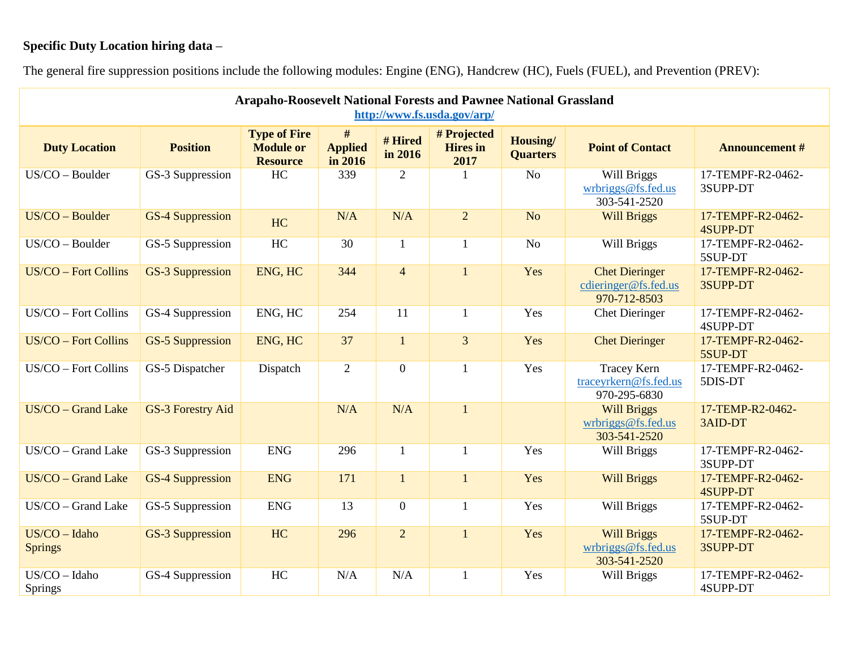## **Specific Duty Location hiring data** –

<span id="page-2-0"></span>

| <b>Arapaho-Roosevelt National Forests and Pawnee National Grassland</b><br>http://www.fs.usda.gov/arp/ |                          |                                                            |                                |                    |                                        |                             |                                                               |                                      |  |  |  |
|--------------------------------------------------------------------------------------------------------|--------------------------|------------------------------------------------------------|--------------------------------|--------------------|----------------------------------------|-----------------------------|---------------------------------------------------------------|--------------------------------------|--|--|--|
| <b>Duty Location</b>                                                                                   | <b>Position</b>          | <b>Type of Fire</b><br><b>Module or</b><br><b>Resource</b> | #<br><b>Applied</b><br>in 2016 | # Hired<br>in 2016 | # Projected<br><b>Hires</b> in<br>2017 | Housing/<br><b>Quarters</b> | <b>Point of Contact</b>                                       | <b>Announcement #</b>                |  |  |  |
| US/CO - Boulder                                                                                        | GS-3 Suppression         | HC                                                         | 339                            | $\overline{2}$     |                                        | N <sub>o</sub>              | Will Briggs<br>wrbriggs@fs.fed.us<br>303-541-2520             | 17-TEMPF-R2-0462-<br>3SUPP-DT        |  |  |  |
| US/CO - Boulder                                                                                        | <b>GS-4 Suppression</b>  | <b>HC</b>                                                  | N/A                            | N/A                | $\overline{2}$                         | N <sub>o</sub>              | <b>Will Briggs</b>                                            | 17-TEMPF-R2-0462-<br><b>4SUPP-DT</b> |  |  |  |
| US/CO - Boulder                                                                                        | GS-5 Suppression         | HC                                                         | 30                             | $\mathbf{1}$       | $\mathbf{1}$                           | N <sub>o</sub>              | Will Briggs                                                   | 17-TEMPF-R2-0462-<br>5SUP-DT         |  |  |  |
| <b>US/CO - Fort Collins</b>                                                                            | <b>GS-3 Suppression</b>  | ENG, HC                                                    | 344                            | $\overline{4}$     | $\mathbf{1}$                           | Yes                         | <b>Chet Dieringer</b><br>cdieringer@fs.fed.us<br>970-712-8503 | 17-TEMPF-R2-0462-<br>3SUPP-DT        |  |  |  |
| US/CO - Fort Collins                                                                                   | GS-4 Suppression         | ENG, HC                                                    | 254                            | 11                 | $\mathbf{1}$                           | Yes                         | <b>Chet Dieringer</b>                                         | 17-TEMPF-R2-0462-<br>4SUPP-DT        |  |  |  |
| <b>US/CO - Fort Collins</b>                                                                            | <b>GS-5 Suppression</b>  | ENG, HC                                                    | 37                             | $\mathbf{1}$       | $\overline{3}$                         | Yes                         | <b>Chet Dieringer</b>                                         | 17-TEMPF-R2-0462-<br>5SUP-DT         |  |  |  |
| US/CO - Fort Collins                                                                                   | GS-5 Dispatcher          | Dispatch                                                   | $\overline{2}$                 | $\overline{0}$     | 1                                      | Yes                         | <b>Tracey Kern</b><br>traceyrkern@fs.fed.us<br>970-295-6830   | 17-TEMPF-R2-0462-<br>5DIS-DT         |  |  |  |
| US/CO - Grand Lake                                                                                     | <b>GS-3 Forestry Aid</b> |                                                            | N/A                            | N/A                | $\mathbf{1}$                           |                             | <b>Will Briggs</b><br>wrbriggs@fs.fed.us<br>303-541-2520      | 17-TEMP-R2-0462-<br>3AID-DT          |  |  |  |
| US/CO - Grand Lake                                                                                     | GS-3 Suppression         | <b>ENG</b>                                                 | 296                            | $\mathbf{1}$       | $\mathbf{1}$                           | Yes                         | Will Briggs                                                   | 17-TEMPF-R2-0462-<br>3SUPP-DT        |  |  |  |
| US/CO - Grand Lake                                                                                     | <b>GS-4 Suppression</b>  | <b>ENG</b>                                                 | 171                            | $\mathbf{1}$       | $\mathbf{1}$                           | Yes                         | <b>Will Briggs</b>                                            | 17-TEMPF-R2-0462-<br><b>4SUPP-DT</b> |  |  |  |
| US/CO - Grand Lake                                                                                     | GS-5 Suppression         | <b>ENG</b>                                                 | 13                             | $\overline{0}$     | 1                                      | Yes                         | Will Briggs                                                   | 17-TEMPF-R2-0462-<br>5SUP-DT         |  |  |  |
| $US/CO - Idaho$<br><b>Springs</b>                                                                      | <b>GS-3 Suppression</b>  | HC                                                         | 296                            | $\overline{2}$     | $\mathbf{1}$                           | Yes                         | <b>Will Briggs</b><br>wrbriggs@fs.fed.us<br>303-541-2520      | 17-TEMPF-R2-0462-<br>3SUPP-DT        |  |  |  |
| US/CO - Idaho<br>Springs                                                                               | GS-4 Suppression         | HC                                                         | N/A                            | N/A                | 1                                      | Yes                         | Will Briggs                                                   | 17-TEMPF-R2-0462-<br>4SUPP-DT        |  |  |  |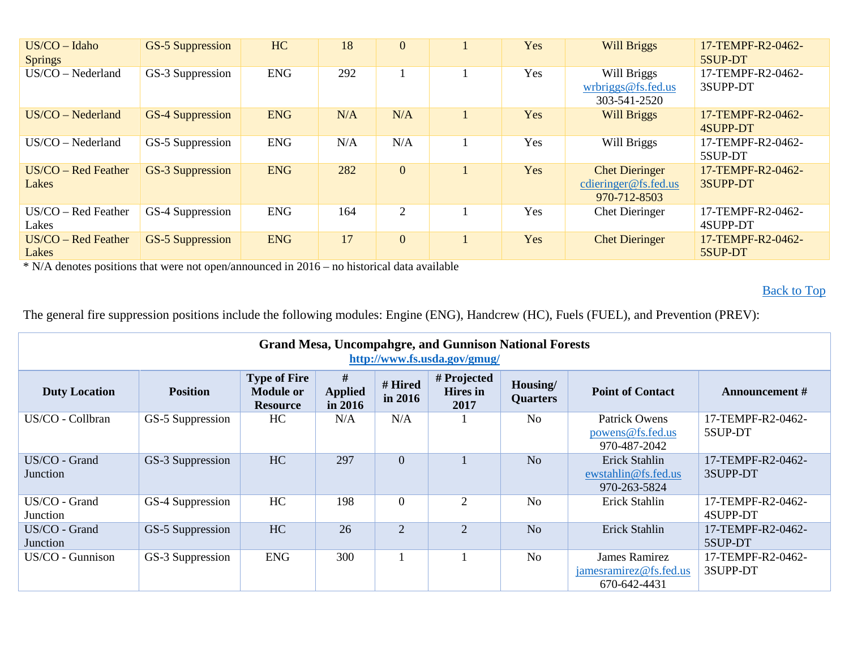| $US/CO - Idaho$<br><b>Springs</b> | <b>GS-5 Suppression</b> | HC         | 18  | $\mathbf{0}$   | Yes | <b>Will Briggs</b>                                            | 17-TEMPF-R2-0462-<br>5SUP-DT  |
|-----------------------------------|-------------------------|------------|-----|----------------|-----|---------------------------------------------------------------|-------------------------------|
| $US/CO - Nederland$               | GS-3 Suppression        | <b>ENG</b> | 292 |                | Yes | Will Briggs<br>wrbriggs@fs.fed.us<br>303-541-2520             | 17-TEMPF-R2-0462-<br>3SUPP-DT |
| $US/CO - Nederland$               | <b>GS-4 Suppression</b> | <b>ENG</b> | N/A | N/A            | Yes | <b>Will Briggs</b>                                            | 17-TEMPF-R2-0462-<br>4SUPP-DT |
| $US/CO - Nederland$               | GS-5 Suppression        | <b>ENG</b> | N/A | N/A            | Yes | Will Briggs                                                   | 17-TEMPF-R2-0462-<br>5SUP-DT  |
| $US/CO - Red Feature$<br>Lakes    | <b>GS-3 Suppression</b> | <b>ENG</b> | 282 | $\overline{0}$ | Yes | <b>Chet Dieringer</b><br>cdieringer@fs.fed.us<br>970-712-8503 | 17-TEMPF-R2-0462-<br>3SUPP-DT |
| $US/CO - Red Feature$<br>Lakes    | GS-4 Suppression        | <b>ENG</b> | 164 | 2              | Yes | <b>Chet Dieringer</b>                                         | 17-TEMPF-R2-0462-<br>4SUPP-DT |
| $US/CO - Red Feature$<br>Lakes    | <b>GS-5 Suppression</b> | <b>ENG</b> | 17  | $\overline{0}$ | Yes | <b>Chet Dieringer</b>                                         | 17-TEMPF-R2-0462-<br>5SUP-DT  |

**[Back to Top](#page-0-0)** 

<span id="page-3-0"></span>

| <b>Grand Mesa, Uncompahgre, and Gunnison National Forests</b><br>http://www.fs.usda.gov/gmug/ |                  |                                                            |                                |                    |                                        |                             |                                                                |                               |  |  |  |  |
|-----------------------------------------------------------------------------------------------|------------------|------------------------------------------------------------|--------------------------------|--------------------|----------------------------------------|-----------------------------|----------------------------------------------------------------|-------------------------------|--|--|--|--|
| <b>Duty Location</b>                                                                          | <b>Position</b>  | <b>Type of Fire</b><br><b>Module or</b><br><b>Resource</b> | #<br><b>Applied</b><br>in 2016 | # Hired<br>in 2016 | # Projected<br><b>Hires</b> in<br>2017 | Housing/<br><b>Quarters</b> | <b>Point of Contact</b>                                        | <b>Announcement</b> #         |  |  |  |  |
| US/CO - Collbran                                                                              | GS-5 Suppression | HC                                                         | N/A                            | N/A                |                                        | N <sub>0</sub>              | Patrick Owens<br>powers@fs.fed.us<br>970-487-2042              | 17-TEMPF-R2-0462-<br>5SUP-DT  |  |  |  |  |
| US/CO - Grand<br><b>Junction</b>                                                              | GS-3 Suppression | HC                                                         | 297                            | $\overline{0}$     |                                        | N <sub>o</sub>              | Erick Stahlin<br>ewstahlin@fs.fed.us<br>970-263-5824           | 17-TEMPF-R2-0462-<br>3SUPP-DT |  |  |  |  |
| US/CO - Grand<br>Junction                                                                     | GS-4 Suppression | HC                                                         | 198                            | $\theta$           | $\overline{2}$                         | N <sub>o</sub>              | Erick Stahlin                                                  | 17-TEMPF-R2-0462-<br>4SUPP-DT |  |  |  |  |
| US/CO - Grand<br>Junction                                                                     | GS-5 Suppression | HC                                                         | 26                             | 2                  | $\overline{2}$                         | N <sub>o</sub>              | Erick Stahlin                                                  | 17-TEMPF-R2-0462-<br>5SUP-DT  |  |  |  |  |
| US/CO - Gunnison                                                                              | GS-3 Suppression | <b>ENG</b>                                                 | 300                            |                    |                                        | N <sub>o</sub>              | <b>James Ramirez</b><br>jamesramirez@fs.fed.us<br>670-642-4431 | 17-TEMPF-R2-0462-<br>3SUPP-DT |  |  |  |  |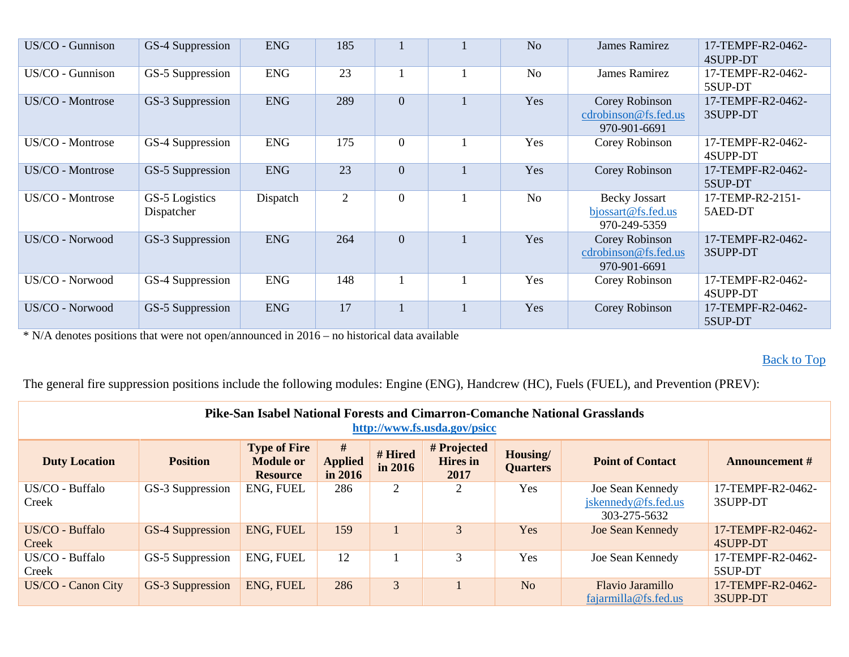| US/CO - Gunnison | GS-4 Suppression             | <b>ENG</b> | 185            |                | N <sub>o</sub> | <b>James Ramirez</b>                                       | 17-TEMPF-R2-0462-<br>4SUPP-DT |
|------------------|------------------------------|------------|----------------|----------------|----------------|------------------------------------------------------------|-------------------------------|
| US/CO - Gunnison | GS-5 Suppression             | <b>ENG</b> | 23             |                | N <sub>0</sub> | <b>James Ramirez</b>                                       | 17-TEMPF-R2-0462-<br>5SUP-DT  |
| US/CO - Montrose | GS-3 Suppression             | <b>ENG</b> | 289            | $\overline{0}$ | Yes            | Corey Robinson<br>cdrobinson@fs.fed.us<br>970-901-6691     | 17-TEMPF-R2-0462-<br>3SUPP-DT |
| US/CO - Montrose | GS-4 Suppression             | <b>ENG</b> | 175            | $\overline{0}$ | Yes            | Corey Robinson                                             | 17-TEMPF-R2-0462-<br>4SUPP-DT |
| US/CO - Montrose | GS-5 Suppression             | <b>ENG</b> | 23             | $\overline{0}$ | Yes            | Corey Robinson                                             | 17-TEMPF-R2-0462-<br>5SUP-DT  |
| US/CO - Montrose | GS-5 Logistics<br>Dispatcher | Dispatch   | $\overline{2}$ | $\overline{0}$ | No             | <b>Becky Jossart</b><br>bjossart@fs.fed.us<br>970-249-5359 | 17-TEMP-R2-2151-<br>5AED-DT   |
| US/CO - Norwood  | GS-3 Suppression             | <b>ENG</b> | 264            | $\mathbf{0}$   | Yes            | Corey Robinson<br>cdrobinson@fs.fed.us<br>970-901-6691     | 17-TEMPF-R2-0462-<br>3SUPP-DT |
| US/CO - Norwood  | GS-4 Suppression             | <b>ENG</b> | 148            |                | Yes            | Corey Robinson                                             | 17-TEMPF-R2-0462-<br>4SUPP-DT |
| US/CO - Norwood  | GS-5 Suppression             | <b>ENG</b> | 17             |                | Yes            | Corey Robinson                                             | 17-TEMPF-R2-0462-<br>5SUP-DT  |

## [Back to Top](#page-0-0)

<span id="page-4-0"></span>

| Pike-San Isabel National Forests and Cimarron-Comanche National Grasslands<br>http://www.fs.usda.gov/psicc |                  |                                                            |                                |                    |                                        |                             |                                                         |                               |  |  |  |
|------------------------------------------------------------------------------------------------------------|------------------|------------------------------------------------------------|--------------------------------|--------------------|----------------------------------------|-----------------------------|---------------------------------------------------------|-------------------------------|--|--|--|
| <b>Duty Location</b>                                                                                       | <b>Position</b>  | <b>Type of Fire</b><br><b>Module or</b><br><b>Resource</b> | #<br><b>Applied</b><br>in 2016 | # Hired<br>in 2016 | # Projected<br><b>Hires</b> in<br>2017 | Housing/<br><b>Quarters</b> | <b>Point of Contact</b>                                 | <b>Announcement #</b>         |  |  |  |
| US/CO - Buffalo<br>Creek                                                                                   | GS-3 Suppression | ENG, FUEL                                                  | 286                            | 2                  | 2                                      | Yes                         | Joe Sean Kennedy<br>jskennedy@fs.fed.us<br>303-275-5632 | 17-TEMPF-R2-0462-<br>3SUPP-DT |  |  |  |
| US/CO - Buffalo<br>Creek                                                                                   | GS-4 Suppression | ENG, FUEL                                                  | 159                            |                    | 3                                      | Yes                         | <b>Joe Sean Kennedy</b>                                 | 17-TEMPF-R2-0462-<br>4SUPP-DT |  |  |  |
| US/CO - Buffalo<br>Creek                                                                                   | GS-5 Suppression | ENG, FUEL                                                  | 12                             |                    | 3                                      | Yes                         | Joe Sean Kennedy                                        | 17-TEMPF-R2-0462-<br>5SUP-DT  |  |  |  |
| US/CO - Canon City                                                                                         | GS-3 Suppression | <b>ENG, FUEL</b>                                           | 286                            | 3 <sup>1</sup>     |                                        | N <sub>o</sub>              | Flavio Jaramillo<br>fajarmilla@fs.fed.us                | 17-TEMPF-R2-0462-<br>3SUPP-DT |  |  |  |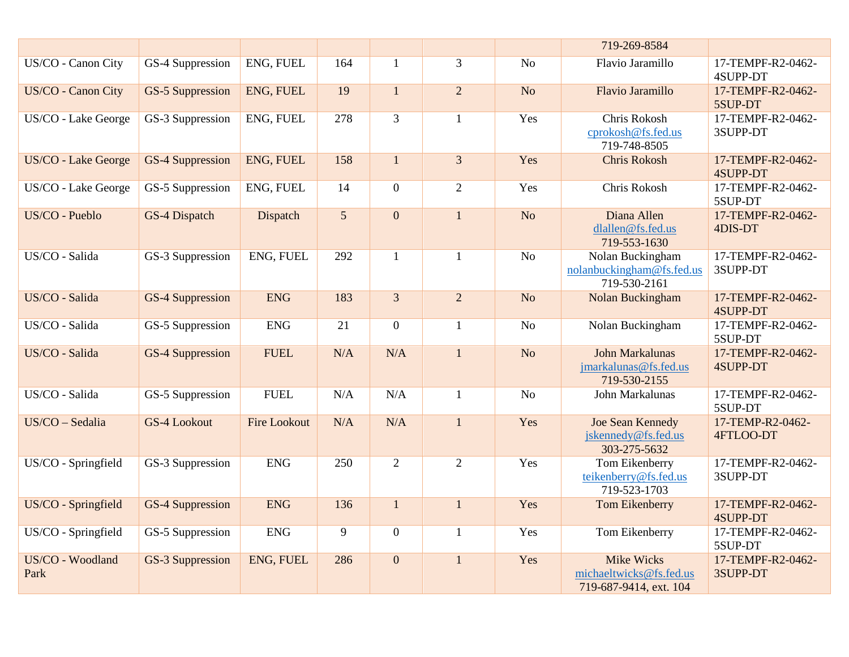|                          |                         |                     |     |                |                |                | 719-269-8584                                                           |                                      |
|--------------------------|-------------------------|---------------------|-----|----------------|----------------|----------------|------------------------------------------------------------------------|--------------------------------------|
| US/CO - Canon City       | GS-4 Suppression        | ENG, FUEL           | 164 | $\mathbf{1}$   | $\overline{3}$ | N <sub>o</sub> | Flavio Jaramillo                                                       | 17-TEMPF-R2-0462-<br>4SUPP-DT        |
| US/CO - Canon City       | <b>GS-5 Suppression</b> | ENG, FUEL           | 19  | $\mathbf{1}$   | $\overline{2}$ | N <sub>o</sub> | <b>Flavio Jaramillo</b>                                                | 17-TEMPF-R2-0462-<br>5SUP-DT         |
| US/CO - Lake George      | GS-3 Suppression        | ENG, FUEL           | 278 | $\overline{3}$ | $\mathbf{1}$   | Yes            | Chris Rokosh<br>cprokosh@fs.fed.us<br>719-748-8505                     | 17-TEMPF-R2-0462-<br>3SUPP-DT        |
| US/CO - Lake George      | <b>GS-4 Suppression</b> | ENG, FUEL           | 158 | $\mathbf{1}$   | $\overline{3}$ | Yes            | <b>Chris Rokosh</b>                                                    | 17-TEMPF-R2-0462-<br><b>4SUPP-DT</b> |
| US/CO - Lake George      | GS-5 Suppression        | ENG, FUEL           | 14  | $\mathbf{0}$   | $\overline{2}$ | Yes            | Chris Rokosh                                                           | 17-TEMPF-R2-0462-<br>5SUP-DT         |
| US/CO - Pueblo           | GS-4 Dispatch           | Dispatch            | 5   | $\overline{0}$ | $\mathbf{1}$   | N <sub>o</sub> | Diana Allen<br>dlallen@fs.fed.us<br>719-553-1630                       | 17-TEMPF-R2-0462-<br>4DIS-DT         |
| US/CO - Salida           | GS-3 Suppression        | ENG, FUEL           | 292 | $\mathbf{1}$   | $\mathbf{1}$   | N <sub>o</sub> | Nolan Buckingham<br>nolanbuckingham@fs.fed.us<br>719-530-2161          | 17-TEMPF-R2-0462-<br>3SUPP-DT        |
| US/CO - Salida           | <b>GS-4 Suppression</b> | <b>ENG</b>          | 183 | $\overline{3}$ | $\overline{2}$ | N <sub>o</sub> | Nolan Buckingham                                                       | 17-TEMPF-R2-0462-<br><b>4SUPP-DT</b> |
| US/CO - Salida           | GS-5 Suppression        | <b>ENG</b>          | 21  | $\overline{0}$ | $\mathbf{1}$   | No             | Nolan Buckingham                                                       | 17-TEMPF-R2-0462-<br>5SUP-DT         |
| US/CO - Salida           | GS-4 Suppression        | <b>FUEL</b>         | N/A | N/A            | $\mathbf{1}$   | N <sub>o</sub> | <b>John Markalunas</b><br>jmarkalunas@fs.fed.us<br>719-530-2155        | 17-TEMPF-R2-0462-<br>4SUPP-DT        |
| US/CO - Salida           | GS-5 Suppression        | <b>FUEL</b>         | N/A | N/A            | $\mathbf{1}$   | N <sub>o</sub> | John Markalunas                                                        | 17-TEMPF-R2-0462-<br>5SUP-DT         |
| US/CO - Sedalia          | <b>GS-4 Lookout</b>     | <b>Fire Lookout</b> | N/A | N/A            | $\mathbf{1}$   | Yes            | Joe Sean Kennedy<br>jskennedy@fs.fed.us<br>303-275-5632                | 17-TEMP-R2-0462-<br>4FTLOO-DT        |
| US/CO - Springfield      | GS-3 Suppression        | <b>ENG</b>          | 250 | $\overline{2}$ | $\overline{2}$ | Yes            | Tom Eikenberry<br>teikenberry@fs.fed.us<br>719-523-1703                | 17-TEMPF-R2-0462-<br>3SUPP-DT        |
| US/CO - Springfield      | GS-4 Suppression        | <b>ENG</b>          | 136 | $\mathbf{1}$   | $\overline{1}$ | Yes            | Tom Eikenberry                                                         | 17-TEMPF-R2-0462-<br><b>4SUPP-DT</b> |
| US/CO - Springfield      | GS-5 Suppression        | <b>ENG</b>          | 9   | $\overline{0}$ | $\mathbf{1}$   | Yes            | Tom Eikenberry                                                         | 17-TEMPF-R2-0462-<br>5SUP-DT         |
| US/CO - Woodland<br>Park | GS-3 Suppression        | ENG, FUEL           | 286 | $\overline{0}$ | $\mathbf{1}$   | Yes            | <b>Mike Wicks</b><br>michaeltwicks@fs.fed.us<br>719-687-9414, ext. 104 | 17-TEMPF-R2-0462-<br>3SUPP-DT        |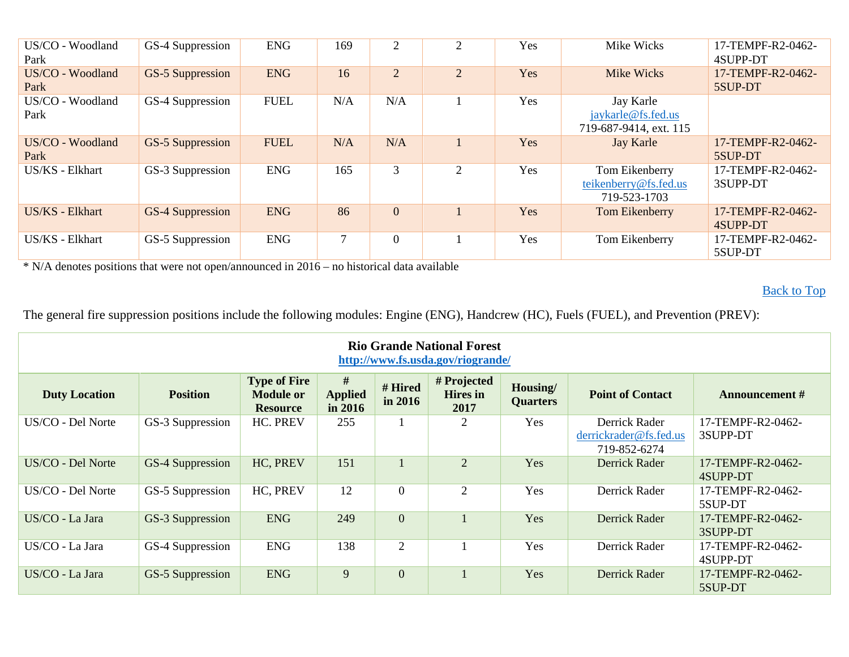| US/CO - Woodland<br>Park | GS-4 Suppression        | <b>ENG</b>  | 169 | $\overline{2}$ | 2              | Yes | Mike Wicks                                                | 17-TEMPF-R2-0462-<br>4SUPP-DT |
|--------------------------|-------------------------|-------------|-----|----------------|----------------|-----|-----------------------------------------------------------|-------------------------------|
| US/CO - Woodland<br>Park | GS-5 Suppression        | <b>ENG</b>  | 16  | $\overline{2}$ | $\overline{2}$ | Yes | Mike Wicks                                                | 17-TEMPF-R2-0462-<br>5SUP-DT  |
| US/CO - Woodland<br>Park | GS-4 Suppression        | <b>FUEL</b> | N/A | N/A            |                | Yes | Jay Karle<br>jaykarle@fs.fed.us<br>719-687-9414, ext. 115 |                               |
| US/CO - Woodland<br>Park | <b>GS-5 Suppression</b> | <b>FUEL</b> | N/A | N/A            |                | Yes | <b>Jay Karle</b>                                          | 17-TEMPF-R2-0462-<br>5SUP-DT  |
| US/KS - Elkhart          | GS-3 Suppression        | <b>ENG</b>  | 165 | 3              | 2              | Yes | Tom Eikenberry<br>teikenberry@fs.fed.us<br>719-523-1703   | 17-TEMPF-R2-0462-<br>3SUPP-DT |
| <b>US/KS</b> - Elkhart   | <b>GS-4 Suppression</b> | <b>ENG</b>  | 86  | $\overline{0}$ |                | Yes | Tom Eikenberry                                            | 17-TEMPF-R2-0462-<br>4SUPP-DT |
| US/KS - Elkhart          | GS-5 Suppression        | <b>ENG</b>  |     | $\overline{0}$ |                | Yes | Tom Eikenberry                                            | 17-TEMPF-R2-0462-<br>5SUP-DT  |

[Back to Top](#page-0-0)

<span id="page-6-0"></span>

| <b>Rio Grande National Forest</b><br>http://www.fs.usda.gov/riogrande/ |                  |                                                            |                                |                    |                                        |                             |                                                         |                               |  |  |  |
|------------------------------------------------------------------------|------------------|------------------------------------------------------------|--------------------------------|--------------------|----------------------------------------|-----------------------------|---------------------------------------------------------|-------------------------------|--|--|--|
| <b>Duty Location</b>                                                   | <b>Position</b>  | <b>Type of Fire</b><br><b>Module or</b><br><b>Resource</b> | #<br><b>Applied</b><br>in 2016 | # Hired<br>in 2016 | # Projected<br><b>Hires</b> in<br>2017 | Housing/<br><b>Quarters</b> | <b>Point of Contact</b>                                 | Announcement #                |  |  |  |
| US/CO - Del Norte                                                      | GS-3 Suppression | HC. PREV                                                   | 255                            |                    | 2                                      | Yes                         | Derrick Rader<br>derrickrader@fs.fed.us<br>719-852-6274 | 17-TEMPF-R2-0462-<br>3SUPP-DT |  |  |  |
| US/CO - Del Norte                                                      | GS-4 Suppression | HC, PREV                                                   | 151                            |                    | $\overline{2}$                         | Yes                         | Derrick Rader                                           | 17-TEMPF-R2-0462-<br>4SUPP-DT |  |  |  |
| US/CO - Del Norte                                                      | GS-5 Suppression | HC, PREV                                                   | 12                             | $\overline{0}$     | 2                                      | Yes                         | Derrick Rader                                           | 17-TEMPF-R2-0462-<br>5SUP-DT  |  |  |  |
| US/CO - La Jara                                                        | GS-3 Suppression | <b>ENG</b>                                                 | 249                            | $\mathbf{0}$       |                                        | Yes                         | Derrick Rader                                           | 17-TEMPF-R2-0462-<br>3SUPP-DT |  |  |  |
| US/CO - La Jara                                                        | GS-4 Suppression | <b>ENG</b>                                                 | 138                            | 2                  |                                        | Yes                         | Derrick Rader                                           | 17-TEMPF-R2-0462-<br>4SUPP-DT |  |  |  |
| US/CO - La Jara                                                        | GS-5 Suppression | <b>ENG</b>                                                 | 9                              | $\overline{0}$     |                                        | Yes                         | Derrick Rader                                           | 17-TEMPF-R2-0462-<br>5SUP-DT  |  |  |  |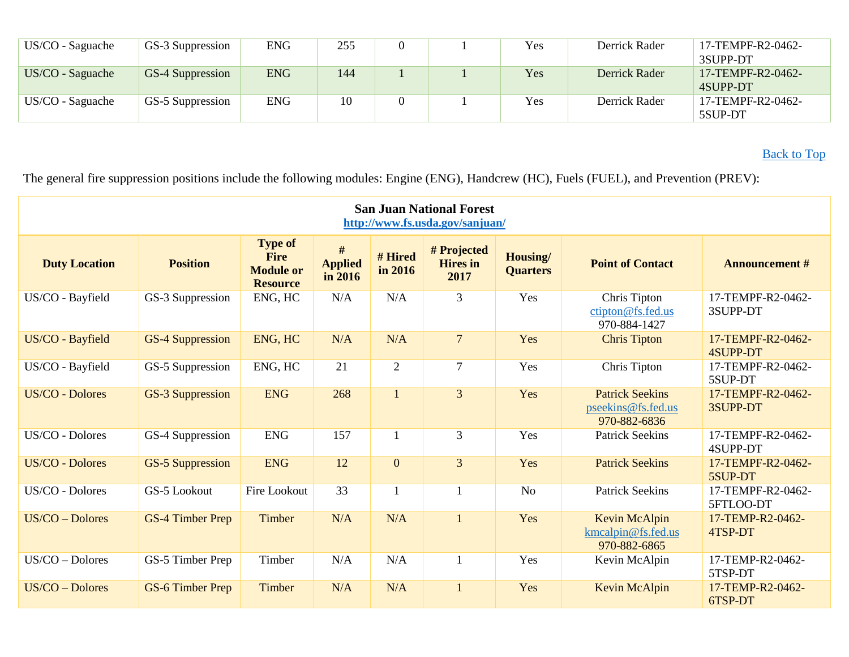| US/CO - Saguache   | GS-3 Suppression        | <b>ENG</b> | 255 |  | Yes | Derrick Rader | 17-TEMPF-R2-0462-<br>3SUPP-DT |
|--------------------|-------------------------|------------|-----|--|-----|---------------|-------------------------------|
| $US/CO - Saguache$ | <b>GS-4 Suppression</b> | <b>ENG</b> | 144 |  | Yes | Derrick Rader | 17-TEMPF-R2-0462-<br>4SUPP-DT |
| $US/CO - Saguache$ | GS-5 Suppression        | ENG        | 10  |  | Yes | Derrick Rader | 17-TEMPF-R2-0462-<br>5SUP-DT  |

[Back to Top](#page-0-0)

<span id="page-7-0"></span>

| <b>San Juan National Forest</b><br>http://www.fs.usda.gov/sanjuan/ |                         |                                                                      |                                |                    |                                        |                                   |                                                              |                                      |  |  |  |
|--------------------------------------------------------------------|-------------------------|----------------------------------------------------------------------|--------------------------------|--------------------|----------------------------------------|-----------------------------------|--------------------------------------------------------------|--------------------------------------|--|--|--|
| <b>Duty Location</b>                                               | <b>Position</b>         | <b>Type of</b><br><b>Fire</b><br><b>Module or</b><br><b>Resource</b> | #<br><b>Applied</b><br>in 2016 | # Hired<br>in 2016 | # Projected<br><b>Hires</b> in<br>2017 | <b>Housing</b><br><b>Quarters</b> | <b>Point of Contact</b>                                      | <b>Announcement #</b>                |  |  |  |
| US/CO - Bayfield                                                   | GS-3 Suppression        | ENG, HC                                                              | N/A                            | N/A                | 3                                      | Yes                               | Chris Tipton<br>ctipton@fs.fed.us<br>970-884-1427            | 17-TEMPF-R2-0462-<br>3SUPP-DT        |  |  |  |
| US/CO - Bayfield                                                   | <b>GS-4 Suppression</b> | ENG, HC                                                              | N/A                            | N/A                | $\overline{7}$                         | Yes                               | <b>Chris Tipton</b>                                          | 17-TEMPF-R2-0462-<br><b>4SUPP-DT</b> |  |  |  |
| US/CO - Bayfield                                                   | GS-5 Suppression        | ENG, HC                                                              | 21                             | $\overline{2}$     | $\overline{7}$                         | Yes                               | Chris Tipton                                                 | 17-TEMPF-R2-0462-<br>5SUP-DT         |  |  |  |
| <b>US/CO - Dolores</b>                                             | <b>GS-3 Suppression</b> | <b>ENG</b>                                                           | 268                            | $\mathbf{1}$       | 3                                      | Yes                               | <b>Patrick Seekins</b><br>pseekins@fs.fed.us<br>970-882-6836 | 17-TEMPF-R2-0462-<br>3SUPP-DT        |  |  |  |
| US/CO - Dolores                                                    | GS-4 Suppression        | <b>ENG</b>                                                           | 157                            | $\mathbf{1}$       | 3                                      | Yes                               | <b>Patrick Seekins</b>                                       | 17-TEMPF-R2-0462-<br>4SUPP-DT        |  |  |  |
| <b>US/CO - Dolores</b>                                             | <b>GS-5 Suppression</b> | <b>ENG</b>                                                           | 12                             | $\overline{0}$     | $\overline{3}$                         | Yes                               | <b>Patrick Seekins</b>                                       | 17-TEMPF-R2-0462-<br>5SUP-DT         |  |  |  |
| US/CO - Dolores                                                    | GS-5 Lookout            | Fire Lookout                                                         | 33                             | $\mathbf{1}$       | $\mathbf{1}$                           | N <sub>o</sub>                    | <b>Patrick Seekins</b>                                       | 17-TEMPF-R2-0462-<br>5FTLOO-DT       |  |  |  |
| $US/CO - Dolores$                                                  | GS-4 Timber Prep        | Timber                                                               | N/A                            | N/A                |                                        | Yes                               | Kevin McAlpin<br>kmcalpin@fs.fed.us<br>970-882-6865          | 17-TEMP-R2-0462-<br>4TSP-DT          |  |  |  |
| US/CO - Dolores                                                    | GS-5 Timber Prep        | Timber                                                               | N/A                            | N/A                | $\mathbf{1}$                           | Yes                               | Kevin McAlpin                                                | 17-TEMP-R2-0462-<br>5TSP-DT          |  |  |  |
| US/CO - Dolores                                                    | GS-6 Timber Prep        | Timber                                                               | N/A                            | N/A                | $\mathbf{1}$                           | Yes                               | Kevin McAlpin                                                | 17-TEMP-R2-0462-<br>6TSP-DT          |  |  |  |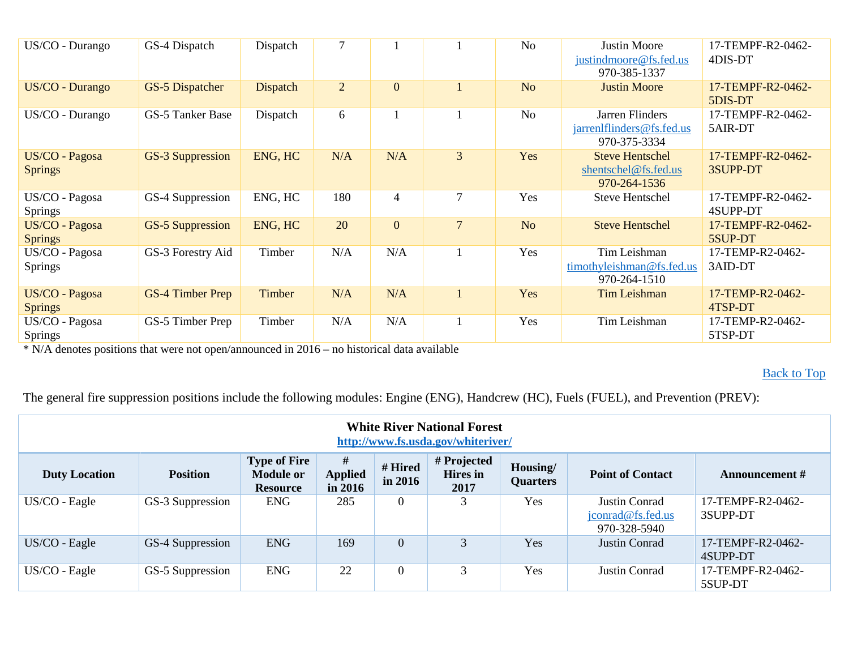| US/CO - Durango                  | GS-4 Dispatch           | Dispatch        | 7              |                |                | No             | <b>Justin Moore</b><br>justindmoore@fs.fed.us<br>970-385-1337  | 17-TEMPF-R2-0462-<br>4DIS-DT  |
|----------------------------------|-------------------------|-----------------|----------------|----------------|----------------|----------------|----------------------------------------------------------------|-------------------------------|
| US/CO - Durango                  | <b>GS-5 Dispatcher</b>  | <b>Dispatch</b> | $\overline{2}$ | $\overline{0}$ |                | N <sub>o</sub> | <b>Justin Moore</b>                                            | 17-TEMPF-R2-0462-<br>5DIS-DT  |
| US/CO - Durango                  | GS-5 Tanker Base        | Dispatch        | 6              |                |                | No             | Jarren Flinders<br>jarrenlflinders@fs.fed.us<br>970-375-3334   | 17-TEMPF-R2-0462-<br>5AIR-DT  |
| US/CO - Pagosa<br><b>Springs</b> | <b>GS-3 Suppression</b> | ENG, HC         | N/A            | N/A            | $\overline{3}$ | Yes            | <b>Steve Hentschel</b><br>shentschel@fs.fed.us<br>970-264-1536 | 17-TEMPF-R2-0462-<br>3SUPP-DT |
| US/CO - Pagosa<br><b>Springs</b> | GS-4 Suppression        | ENG, HC         | 180            | $\overline{4}$ | $\overline{7}$ | Yes            | <b>Steve Hentschel</b>                                         | 17-TEMPF-R2-0462-<br>4SUPP-DT |
| US/CO - Pagosa<br><b>Springs</b> | <b>GS-5 Suppression</b> | ENG, HC         | 20             | $\mathbf{0}$   | $\overline{7}$ | N <sub>o</sub> | <b>Steve Hentschel</b>                                         | 17-TEMPF-R2-0462-<br>5SUP-DT  |
| US/CO - Pagosa<br><b>Springs</b> | GS-3 Forestry Aid       | Timber          | N/A            | N/A            |                | Yes            | Tim Leishman<br>timothyleishman@fs.fed.us<br>970-264-1510      | 17-TEMP-R2-0462-<br>3AID-DT   |
| US/CO - Pagosa<br><b>Springs</b> | <b>GS-4 Timber Prep</b> | Timber          | N/A            | N/A            |                | Yes            | <b>Tim Leishman</b>                                            | 17-TEMP-R2-0462-<br>4TSP-DT   |
| US/CO - Pagosa<br><b>Springs</b> | GS-5 Timber Prep        | Timber          | N/A            | N/A            |                | Yes            | Tim Leishman                                                   | 17-TEMP-R2-0462-<br>5TSP-DT   |

### [Back to Top](#page-0-0)

<span id="page-8-0"></span>

| <b>White River National Forest</b><br>http://www.fs.usda.gov/whiteriver/ |                  |                                                            |                                |                    |                                        |                             |                                                    |                               |  |  |
|--------------------------------------------------------------------------|------------------|------------------------------------------------------------|--------------------------------|--------------------|----------------------------------------|-----------------------------|----------------------------------------------------|-------------------------------|--|--|
| <b>Duty Location</b>                                                     | <b>Position</b>  | <b>Type of Fire</b><br><b>Module or</b><br><b>Resource</b> | #<br><b>Applied</b><br>in 2016 | # Hired<br>in 2016 | # Projected<br><b>Hires</b> in<br>2017 | Housing/<br><b>Quarters</b> | <b>Point of Contact</b>                            | <b>Announcement</b> #         |  |  |
| US/CO - Eagle                                                            | GS-3 Suppression | <b>ENG</b>                                                 | 285                            | $\boldsymbol{0}$   | 3                                      | Yes                         | Justin Conrad<br>jconrad@fs.fed.us<br>970-328-5940 | 17-TEMPF-R2-0462-<br>3SUPP-DT |  |  |
| US/CO - Eagle                                                            | GS-4 Suppression | <b>ENG</b>                                                 | 169                            | $\overline{0}$     | 3                                      | Yes                         | Justin Conrad                                      | 17-TEMPF-R2-0462-<br>4SUPP-DT |  |  |
| US/CO - Eagle                                                            | GS-5 Suppression | <b>ENG</b>                                                 | 22                             | $\overline{0}$     | 3                                      | Yes                         | Justin Conrad                                      | 17-TEMPF-R2-0462-<br>5SUP-DT  |  |  |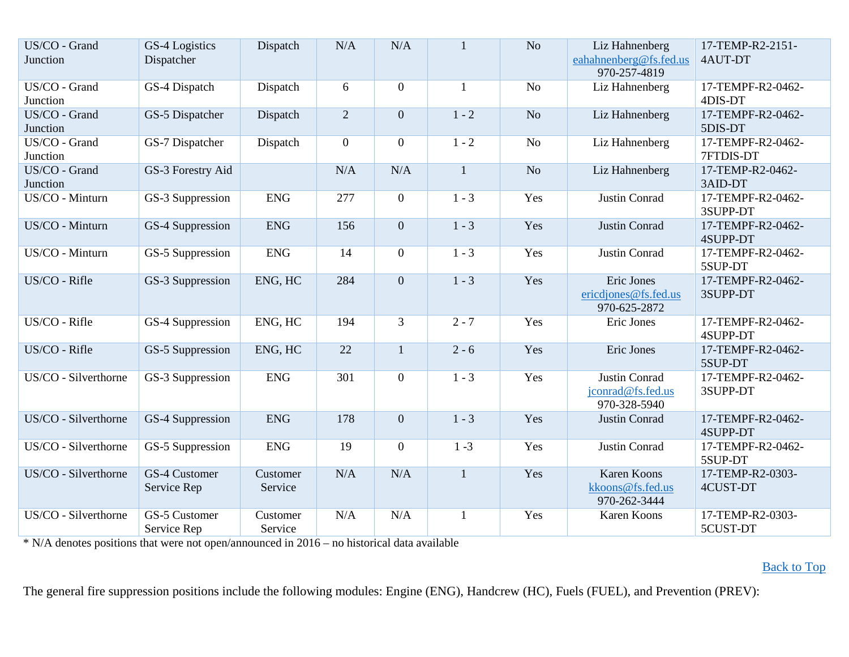| US/CO - Grand<br>Junction | GS-4 Logistics<br>Dispatcher | Dispatch            | N/A            | N/A              | $\mathbf{1}$ | N <sub>o</sub> | Liz Hahnenberg<br>eahahnenberg@fs.fed.us<br>970-257-4819 | 17-TEMP-R2-2151-<br>4AUT-DT    |
|---------------------------|------------------------------|---------------------|----------------|------------------|--------------|----------------|----------------------------------------------------------|--------------------------------|
| US/CO - Grand<br>Junction | GS-4 Dispatch                | Dispatch            | 6              | $\boldsymbol{0}$ | $\mathbf{1}$ | N <sub>o</sub> | Liz Hahnenberg                                           | 17-TEMPF-R2-0462-<br>4DIS-DT   |
| US/CO - Grand<br>Junction | GS-5 Dispatcher              | Dispatch            | $\overline{2}$ | $\overline{0}$   | $1 - 2$      | N <sub>o</sub> | Liz Hahnenberg                                           | 17-TEMPF-R2-0462-<br>5DIS-DT   |
| US/CO - Grand<br>Junction | GS-7 Dispatcher              | Dispatch            | $\overline{0}$ | $\overline{0}$   | $1 - 2$      | N <sub>o</sub> | Liz Hahnenberg                                           | 17-TEMPF-R2-0462-<br>7FTDIS-DT |
| US/CO - Grand<br>Junction | GS-3 Forestry Aid            |                     | N/A            | N/A              | $\mathbf{1}$ | N <sub>o</sub> | Liz Hahnenberg                                           | 17-TEMP-R2-0462-<br>3AID-DT    |
| US/CO - Minturn           | GS-3 Suppression             | <b>ENG</b>          | 277            | $\boldsymbol{0}$ | $1 - 3$      | Yes            | Justin Conrad                                            | 17-TEMPF-R2-0462-<br>3SUPP-DT  |
| US/CO - Minturn           | GS-4 Suppression             | <b>ENG</b>          | 156            | $\boldsymbol{0}$ | $1 - 3$      | Yes            | Justin Conrad                                            | 17-TEMPF-R2-0462-<br>4SUPP-DT  |
| US/CO - Minturn           | GS-5 Suppression             | <b>ENG</b>          | 14             | $\boldsymbol{0}$ | $1 - 3$      | Yes            | Justin Conrad                                            | 17-TEMPF-R2-0462-<br>5SUP-DT   |
| US/CO - Rifle             | GS-3 Suppression             | ENG, HC             | 284            | $\overline{0}$   | $1 - 3$      | Yes            | Eric Jones<br>ericdjones@fs.fed.us<br>970-625-2872       | 17-TEMPF-R2-0462-<br>3SUPP-DT  |
| US/CO - Rifle             | GS-4 Suppression             | ENG, HC             | 194            | 3                | $2 - 7$      | Yes            | Eric Jones                                               | 17-TEMPF-R2-0462-<br>4SUPP-DT  |
| US/CO - Rifle             | GS-5 Suppression             | ENG, HC             | 22             | $\mathbf{1}$     | $2 - 6$      | Yes            | Eric Jones                                               | 17-TEMPF-R2-0462-<br>5SUP-DT   |
| US/CO - Silverthorne      | GS-3 Suppression             | <b>ENG</b>          | 301            | $\overline{0}$   | $1 - 3$      | Yes            | Justin Conrad<br>jconrad@fs.fed.us<br>970-328-5940       | 17-TEMPF-R2-0462-<br>3SUPP-DT  |
| US/CO - Silverthorne      | GS-4 Suppression             | <b>ENG</b>          | 178            | $\boldsymbol{0}$ | $1 - 3$      | Yes            | Justin Conrad                                            | 17-TEMPF-R2-0462-<br>4SUPP-DT  |
| US/CO - Silverthorne      | GS-5 Suppression             | <b>ENG</b>          | 19             | $\boldsymbol{0}$ | $1 - 3$      | Yes            | Justin Conrad                                            | 17-TEMPF-R2-0462-<br>5SUP-DT   |
| US/CO - Silverthorne      | GS-4 Customer<br>Service Rep | Customer<br>Service | N/A            | N/A              | $\mathbf{1}$ | Yes            | <b>Karen Koons</b><br>kkoons@fs.fed.us<br>970-262-3444   | 17-TEMP-R2-0303-<br>4CUST-DT   |
| US/CO - Silverthorne      | GS-5 Customer<br>Service Rep | Customer<br>Service | N/A            | N/A              | $\mathbf{1}$ | Yes            | Karen Koons                                              | 17-TEMP-R2-0303-<br>5CUST-DT   |

### [Back to Top](#page-0-0)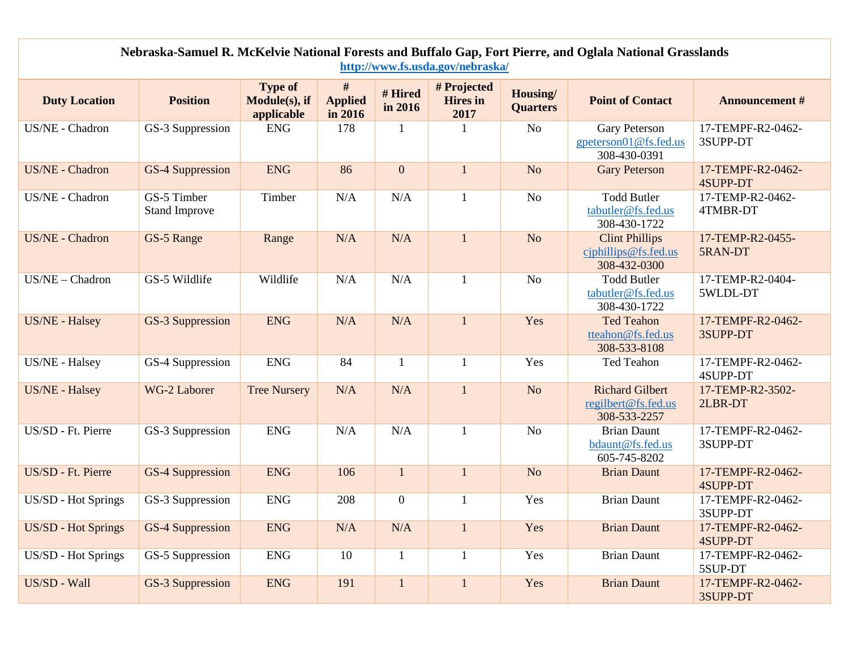<span id="page-10-0"></span>

| Nebraska-Samuel R. McKelvie National Forests and Buffalo Gap, Fort Pierre, and Oglala National Grasslands<br>http://www.fs.usda.gov/nebraska/ |                                     |                                               |                                |                    |                                        |                             |                                                               |                                      |  |  |  |
|-----------------------------------------------------------------------------------------------------------------------------------------------|-------------------------------------|-----------------------------------------------|--------------------------------|--------------------|----------------------------------------|-----------------------------|---------------------------------------------------------------|--------------------------------------|--|--|--|
| <b>Duty Location</b>                                                                                                                          | <b>Position</b>                     | <b>Type of</b><br>Module(s), if<br>applicable | #<br><b>Applied</b><br>in 2016 | # Hired<br>in 2016 | # Projected<br><b>Hires</b> in<br>2017 | Housing/<br><b>Quarters</b> | <b>Point of Contact</b>                                       | <b>Announcement #</b>                |  |  |  |
| US/NE - Chadron                                                                                                                               | GS-3 Suppression                    | <b>ENG</b>                                    | 178                            | $\mathbf{1}$       |                                        | N <sub>o</sub>              | Gary Peterson<br>gpeterson01@fs.fed.us<br>308-430-0391        | 17-TEMPF-R2-0462-<br>3SUPP-DT        |  |  |  |
| US/NE - Chadron                                                                                                                               | <b>GS-4 Suppression</b>             | <b>ENG</b>                                    | 86                             | $\boldsymbol{0}$   | $\mathbf{1}$                           | No                          | <b>Gary Peterson</b>                                          | 17-TEMPF-R2-0462-<br>4SUPP-DT        |  |  |  |
| US/NE - Chadron                                                                                                                               | GS-5 Timber<br><b>Stand Improve</b> | Timber                                        | N/A                            | N/A                | $\mathbf{1}$                           | N <sub>o</sub>              | <b>Todd Butler</b><br>tabutler@fs.fed.us<br>308-430-1722      | 17-TEMP-R2-0462-<br>4TMBR-DT         |  |  |  |
| US/NE - Chadron                                                                                                                               | GS-5 Range                          | Range                                         | N/A                            | N/A                | $\mathbf{1}$                           | N <sub>o</sub>              | <b>Clint Phillips</b><br>ciphillips@fs.fed.us<br>308-432-0300 | 17-TEMP-R2-0455-<br>5RAN-DT          |  |  |  |
| US/NE - Chadron                                                                                                                               | GS-5 Wildlife                       | Wildlife                                      | N/A                            | N/A                | $\mathbf{1}$                           | N <sub>o</sub>              | <b>Todd Butler</b><br>tabutler@fs.fed.us<br>308-430-1722      | 17-TEMP-R2-0404-<br>5WLDL-DT         |  |  |  |
| US/NE - Halsey                                                                                                                                | GS-3 Suppression                    | <b>ENG</b>                                    | N/A                            | N/A                | $\mathbf{1}$                           | Yes                         | <b>Ted Teahon</b><br>tteahon@fs.fed.us<br>308-533-8108        | 17-TEMPF-R2-0462-<br>3SUPP-DT        |  |  |  |
| US/NE - Halsey                                                                                                                                | GS-4 Suppression                    | <b>ENG</b>                                    | 84                             | $\mathbf{1}$       |                                        | Yes                         | Ted Teahon                                                    | 17-TEMPF-R2-0462-<br>4SUPP-DT        |  |  |  |
| US/NE - Halsey                                                                                                                                | WG-2 Laborer                        | <b>Tree Nursery</b>                           | N/A                            | N/A                | $\mathbf{1}$                           | N <sub>o</sub>              | <b>Richard Gilbert</b><br>regilbert@fs.fed.us<br>308-533-2257 | 17-TEMP-R2-3502-<br>2LBR-DT          |  |  |  |
| US/SD - Ft. Pierre                                                                                                                            | GS-3 Suppression                    | <b>ENG</b>                                    | N/A                            | N/A                |                                        | N <sub>o</sub>              | <b>Brian Daunt</b><br>bdaunt@fs.fed.us<br>605-745-8202        | 17-TEMPF-R2-0462-<br>3SUPP-DT        |  |  |  |
| US/SD - Ft. Pierre                                                                                                                            | <b>GS-4 Suppression</b>             | <b>ENG</b>                                    | 106                            | $\mathbf{1}$       | $\mathbf{1}$                           | N <sub>o</sub>              | <b>Brian Daunt</b>                                            | 17-TEMPF-R2-0462-<br>4SUPP-DT        |  |  |  |
| US/SD - Hot Springs                                                                                                                           | GS-3 Suppression                    | <b>ENG</b>                                    | 208                            | $\overline{0}$     |                                        | Yes                         | <b>Brian Daunt</b>                                            | 17-TEMPF-R2-0462-<br>3SUPP-DT        |  |  |  |
| <b>US/SD - Hot Springs</b>                                                                                                                    | GS-4 Suppression                    | <b>ENG</b>                                    | N/A                            | N/A                | 1                                      | Yes                         | <b>Brian Daunt</b>                                            | 17-TEMPF-R2-0462-<br><b>4SUPP-DT</b> |  |  |  |
| US/SD - Hot Springs                                                                                                                           | GS-5 Suppression                    | <b>ENG</b>                                    | 10                             | $\mathbf{1}$       |                                        | Yes                         | <b>Brian Daunt</b>                                            | 17-TEMPF-R2-0462-<br>5SUP-DT         |  |  |  |
| US/SD - Wall                                                                                                                                  | GS-3 Suppression                    | <b>ENG</b>                                    | 191                            | $\mathbf{1}$       | $\mathbf{1}$                           | Yes                         | <b>Brian Daunt</b>                                            | 17-TEMPF-R2-0462-<br>3SUPP-DT        |  |  |  |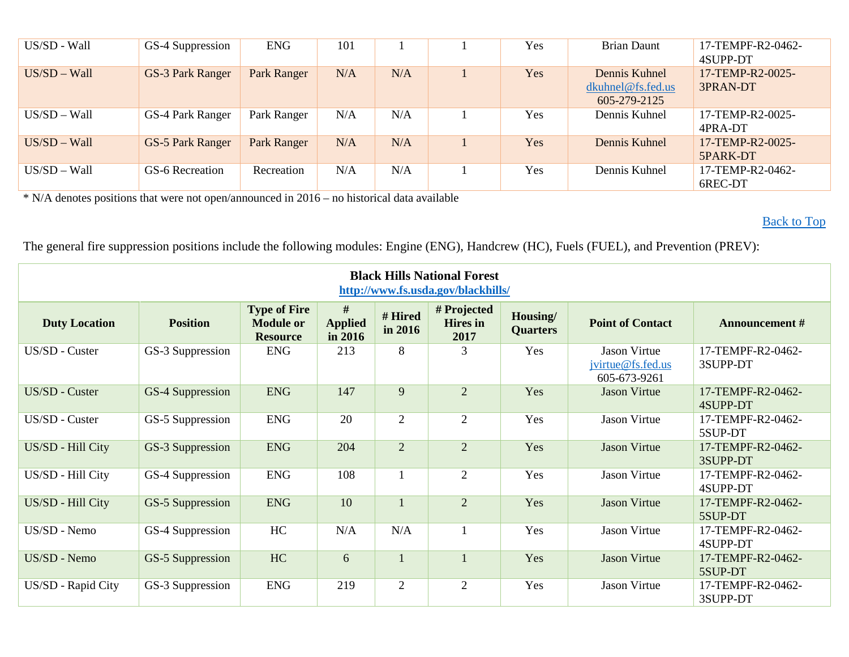| US/SD - Wall   | GS-4 Suppression        | <b>ENG</b>         | 101 |     | Yes        | <b>Brian Daunt</b>                                 | 17-TEMPF-R2-0462-<br>4SUPP-DT |
|----------------|-------------------------|--------------------|-----|-----|------------|----------------------------------------------------|-------------------------------|
| $US/SD - Wall$ | GS-3 Park Ranger        | Park Ranger        | N/A | N/A | <b>Yes</b> | Dennis Kuhnel<br>dkuhnel@fs.fed.us<br>605-279-2125 | 17-TEMP-R2-0025-<br>3PRAN-DT  |
| $US/SD - Wall$ | GS-4 Park Ranger        | Park Ranger        | N/A | N/A | <b>Yes</b> | Dennis Kuhnel                                      | 17-TEMP-R2-0025-<br>4PRA-DT   |
| $US/SD - Wall$ | <b>GS-5 Park Ranger</b> | <b>Park Ranger</b> | N/A | N/A | Yes        | Dennis Kuhnel                                      | 17-TEMP-R2-0025-<br>5PARK-DT  |
| $US/SD - Wall$ | GS-6 Recreation         | Recreation         | N/A | N/A | Yes        | Dennis Kuhnel                                      | 17-TEMP-R2-0462-<br>6REC-DT   |

[Back to Top](#page-0-0)

<span id="page-11-0"></span>

| <b>Black Hills National Forest</b><br>http://www.fs.usda.gov/blackhills/ |                  |                                                            |                                |                    |                                        |                             |                                                   |                               |  |  |  |
|--------------------------------------------------------------------------|------------------|------------------------------------------------------------|--------------------------------|--------------------|----------------------------------------|-----------------------------|---------------------------------------------------|-------------------------------|--|--|--|
| <b>Duty Location</b>                                                     | <b>Position</b>  | <b>Type of Fire</b><br><b>Module or</b><br><b>Resource</b> | #<br><b>Applied</b><br>in 2016 | # Hired<br>in 2016 | # Projected<br><b>Hires</b> in<br>2017 | Housing/<br><b>Quarters</b> | <b>Point of Contact</b>                           | <b>Announcement #</b>         |  |  |  |
| US/SD - Custer                                                           | GS-3 Suppression | <b>ENG</b>                                                 | 213                            | 8                  | 3                                      | Yes                         | Jason Virtue<br>jvirtue@fs.fed.us<br>605-673-9261 | 17-TEMPF-R2-0462-<br>3SUPP-DT |  |  |  |
| US/SD - Custer                                                           | GS-4 Suppression | <b>ENG</b>                                                 | 147                            | 9                  | $\overline{2}$                         | Yes                         | <b>Jason Virtue</b>                               | 17-TEMPF-R2-0462-<br>4SUPP-DT |  |  |  |
| US/SD - Custer                                                           | GS-5 Suppression | <b>ENG</b>                                                 | 20                             | $\overline{2}$     | $\mathfrak{2}$                         | Yes                         | <b>Jason Virtue</b>                               | 17-TEMPF-R2-0462-<br>5SUP-DT  |  |  |  |
| US/SD - Hill City                                                        | GS-3 Suppression | <b>ENG</b>                                                 | 204                            | $\overline{2}$     | $\overline{2}$                         | Yes                         | <b>Jason Virtue</b>                               | 17-TEMPF-R2-0462-<br>3SUPP-DT |  |  |  |
| US/SD - Hill City                                                        | GS-4 Suppression | <b>ENG</b>                                                 | 108                            |                    | $\overline{2}$                         | Yes                         | <b>Jason Virtue</b>                               | 17-TEMPF-R2-0462-<br>4SUPP-DT |  |  |  |
| US/SD - Hill City                                                        | GS-5 Suppression | <b>ENG</b>                                                 | 10                             |                    | $\overline{2}$                         | Yes                         | <b>Jason Virtue</b>                               | 17-TEMPF-R2-0462-<br>5SUP-DT  |  |  |  |
| US/SD - Nemo                                                             | GS-4 Suppression | HC                                                         | N/A                            | N/A                |                                        | Yes                         | <b>Jason Virtue</b>                               | 17-TEMPF-R2-0462-<br>4SUPP-DT |  |  |  |
| US/SD - Nemo                                                             | GS-5 Suppression | HC                                                         | 6                              |                    |                                        | Yes                         | <b>Jason Virtue</b>                               | 17-TEMPF-R2-0462-<br>5SUP-DT  |  |  |  |
| US/SD - Rapid City                                                       | GS-3 Suppression | <b>ENG</b>                                                 | 219                            | $\overline{2}$     | $\overline{2}$                         | Yes                         | <b>Jason Virtue</b>                               | 17-TEMPF-R2-0462-<br>3SUPP-DT |  |  |  |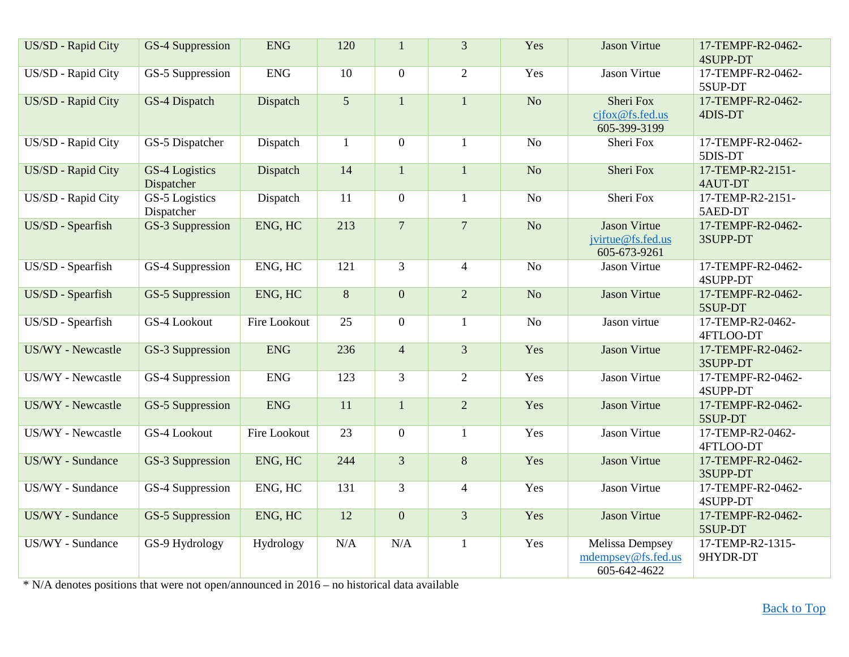| US/SD - Rapid City | GS-4 Suppression             | <b>ENG</b>   | 120             | $\mathbf{1}$     | $\overline{3}$ | Yes             | <b>Jason Virtue</b>                                      | 17-TEMPF-R2-0462-<br><b>4SUPP-DT</b> |
|--------------------|------------------------------|--------------|-----------------|------------------|----------------|-----------------|----------------------------------------------------------|--------------------------------------|
| US/SD - Rapid City | GS-5 Suppression             | <b>ENG</b>   | 10              | $\overline{0}$   | 2              | Yes             | <b>Jason Virtue</b>                                      | 17-TEMPF-R2-0462-<br>5SUP-DT         |
| US/SD - Rapid City | GS-4 Dispatch                | Dispatch     | 5               | $\mathbf{1}$     | $\mathbf{1}$   | $\overline{No}$ | <b>Sheri Fox</b><br>cjfox@fs.fed.us<br>605-399-3199      | 17-TEMPF-R2-0462-<br>4DIS-DT         |
| US/SD - Rapid City | GS-5 Dispatcher              | Dispatch     | $\mathbf{1}$    | $\overline{0}$   | $\mathbf{1}$   | N <sub>o</sub>  | Sheri Fox                                                | 17-TEMPF-R2-0462-<br>5DIS-DT         |
| US/SD - Rapid City | GS-4 Logistics<br>Dispatcher | Dispatch     | 14              | $\mathbf{1}$     | $\mathbf{1}$   | No              | Sheri Fox                                                | 17-TEMP-R2-2151-<br>4AUT-DT          |
| US/SD - Rapid City | GS-5 Logistics<br>Dispatcher | Dispatch     | 11              | $\mathbf{0}$     | $\mathbf{1}$   | N <sub>o</sub>  | Sheri Fox                                                | 17-TEMP-R2-2151-<br>5AED-DT          |
| US/SD - Spearfish  | GS-3 Suppression             | ENG, HC      | 213             | $\overline{7}$   | $\overline{7}$ | No              | <b>Jason Virtue</b><br>jvirtue@fs.fed.us<br>605-673-9261 | 17-TEMPF-R2-0462-<br>3SUPP-DT        |
| US/SD - Spearfish  | GS-4 Suppression             | ENG, HC      | 121             | $\overline{3}$   | $\overline{4}$ | N <sub>o</sub>  | <b>Jason Virtue</b>                                      | 17-TEMPF-R2-0462-<br>4SUPP-DT        |
| US/SD - Spearfish  | GS-5 Suppression             | ENG, HC      | 8               | $\boldsymbol{0}$ | $\overline{2}$ | No              | <b>Jason Virtue</b>                                      | 17-TEMPF-R2-0462-<br>5SUP-DT         |
| US/SD - Spearfish  | GS-4 Lookout                 | Fire Lookout | 25              | $\overline{0}$   | $\mathbf{1}$   | N <sub>o</sub>  | Jason virtue                                             | 17-TEMP-R2-0462-<br>4FTLOO-DT        |
| US/WY - Newcastle  | GS-3 Suppression             | <b>ENG</b>   | 236             | $\overline{4}$   | $\overline{3}$ | Yes             | <b>Jason Virtue</b>                                      | 17-TEMPF-R2-0462-<br>3SUPP-DT        |
| US/WY - Newcastle  | GS-4 Suppression             | <b>ENG</b>   | 123             | $\overline{3}$   | 2              | Yes             | Jason Virtue                                             | 17-TEMPF-R2-0462-<br>4SUPP-DT        |
| US/WY - Newcastle  | GS-5 Suppression             | <b>ENG</b>   | 11              | $\mathbf{1}$     | $\overline{2}$ | Yes             | <b>Jason Virtue</b>                                      | 17-TEMPF-R2-0462-<br>5SUP-DT         |
| US/WY - Newcastle  | GS-4 Lookout                 | Fire Lookout | $\overline{23}$ | $\overline{0}$   | 1              | Yes             | <b>Jason Virtue</b>                                      | 17-TEMP-R2-0462-<br>4FTLOO-DT        |
| US/WY - Sundance   | GS-3 Suppression             | ENG, HC      | 244             | $\overline{3}$   | 8              | Yes             | <b>Jason Virtue</b>                                      | 17-TEMPF-R2-0462-<br>3SUPP-DT        |
| US/WY - Sundance   | GS-4 Suppression             | ENG, HC      | 131             | $\overline{3}$   | $\overline{4}$ | Yes             | <b>Jason Virtue</b>                                      | 17-TEMPF-R2-0462-<br>4SUPP-DT        |
| US/WY - Sundance   | GS-5 Suppression             | ENG, HC      | 12              | $\boldsymbol{0}$ | $\overline{3}$ | Yes             | <b>Jason Virtue</b>                                      | 17-TEMPF-R2-0462-<br>5SUP-DT         |
| US/WY - Sundance   | GS-9 Hydrology               | Hydrology    | N/A             | N/A              | $\mathbf{1}$   | Yes             | Melissa Dempsey<br>mdempsey@fs.fed.us<br>605-642-4622    | 17-TEMP-R2-1315-<br>9HYDR-DT         |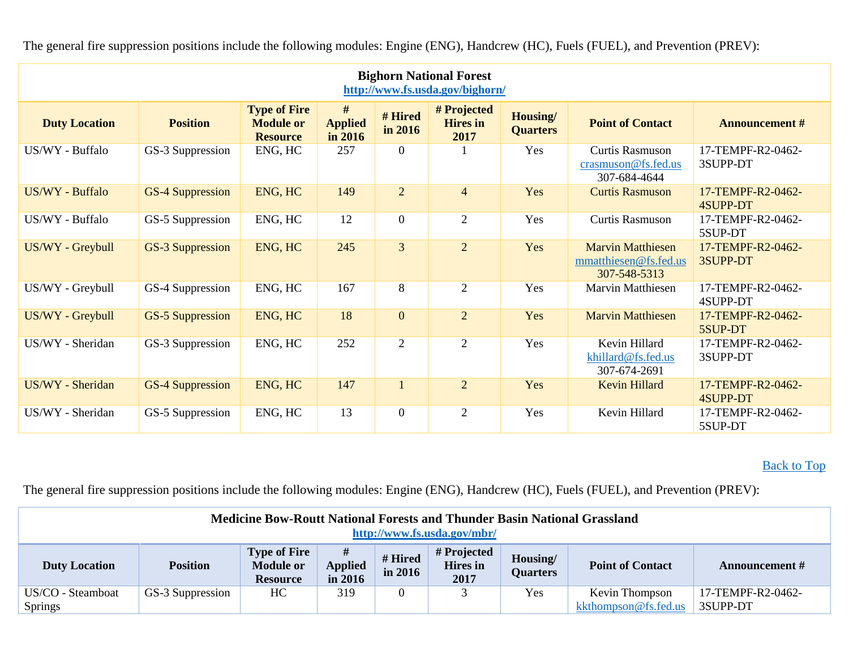<span id="page-13-0"></span>

| <b>Bighorn National Forest</b><br>http://www.fs.usda.gov/bighorn/ |                         |                                                            |                                |                    |                                        |                             |                                                                   |                                      |  |  |  |
|-------------------------------------------------------------------|-------------------------|------------------------------------------------------------|--------------------------------|--------------------|----------------------------------------|-----------------------------|-------------------------------------------------------------------|--------------------------------------|--|--|--|
| <b>Duty Location</b>                                              | <b>Position</b>         | <b>Type of Fire</b><br><b>Module or</b><br><b>Resource</b> | #<br><b>Applied</b><br>in 2016 | # Hired<br>in 2016 | # Projected<br><b>Hires</b> in<br>2017 | Housing/<br><b>Quarters</b> | <b>Point of Contact</b>                                           | <b>Announcement #</b>                |  |  |  |
| US/WY - Buffalo                                                   | GS-3 Suppression        | ENG, HC                                                    | 257                            | $\boldsymbol{0}$   |                                        | Yes                         | <b>Curtis Rasmuson</b><br>crasmuson@fs.fed.us<br>307-684-4644     | 17-TEMPF-R2-0462-<br>3SUPP-DT        |  |  |  |
| US/WY - Buffalo                                                   | <b>GS-4 Suppression</b> | ENG, HC                                                    | 149                            | $\overline{2}$     | $\overline{4}$                         | Yes                         | <b>Curtis Rasmuson</b>                                            | 17-TEMPF-R2-0462-<br>4SUPP-DT        |  |  |  |
| US/WY - Buffalo                                                   | GS-5 Suppression        | ENG, HC                                                    | 12                             | $\boldsymbol{0}$   | $\overline{2}$                         | Yes                         | Curtis Rasmuson                                                   | 17-TEMPF-R2-0462-<br>5SUP-DT         |  |  |  |
| US/WY - Greybull                                                  | GS-3 Suppression        | ENG, HC                                                    | 245                            | $\overline{3}$     | $\overline{2}$                         | Yes                         | <b>Marvin Matthiesen</b><br>mmatthiesen@fs.fed.us<br>307-548-5313 | 17-TEMPF-R2-0462-<br>3SUPP-DT        |  |  |  |
| US/WY - Greybull                                                  | GS-4 Suppression        | ENG, HC                                                    | 167                            | 8                  | $\overline{2}$                         | Yes                         | <b>Marvin Matthiesen</b>                                          | 17-TEMPF-R2-0462-<br>4SUPP-DT        |  |  |  |
| US/WY - Greybull                                                  | <b>GS-5 Suppression</b> | ENG, HC                                                    | 18                             | $\mathbf{0}$       | $\overline{2}$                         | Yes                         | <b>Marvin Matthiesen</b>                                          | 17-TEMPF-R2-0462-<br>5SUP-DT         |  |  |  |
| US/WY - Sheridan                                                  | GS-3 Suppression        | ENG, HC                                                    | 252                            | $\overline{2}$     | $\mathfrak{2}$                         | Yes                         | Kevin Hillard<br>khillard@fs.fed.us<br>307-674-2691               | 17-TEMPF-R2-0462-<br>3SUPP-DT        |  |  |  |
| US/WY - Sheridan                                                  | <b>GS-4 Suppression</b> | ENG, HC                                                    | 147                            | $\mathbf{1}$       | $\overline{2}$                         | Yes                         | <b>Kevin Hillard</b>                                              | 17-TEMPF-R2-0462-<br><b>4SUPP-DT</b> |  |  |  |
| US/WY - Sheridan                                                  | GS-5 Suppression        | ENG, HC                                                    | 13                             | $\boldsymbol{0}$   | $\overline{2}$                         | Yes                         | Kevin Hillard                                                     | 17-TEMPF-R2-0462-<br>5SUP-DT         |  |  |  |

The general fire suppression positions include the following modules: Engine (ENG), Handcrew (HC), Fuels (FUEL), and Prevention (PREV):

## [Back to Top](#page-0-0)

<span id="page-13-1"></span>

| <b>Medicine Bow-Routt National Forests and Thunder Basin National Grassland</b><br>http://www.fs.usda.gov/mbr/                                                     |                                                                                                                                                                                                                                                             |  |  |  |  |  |  |  |  |
|--------------------------------------------------------------------------------------------------------------------------------------------------------------------|-------------------------------------------------------------------------------------------------------------------------------------------------------------------------------------------------------------------------------------------------------------|--|--|--|--|--|--|--|--|
| <b>Duty Location</b>                                                                                                                                               | <b>Type of Fire</b><br>#<br># Projected<br># Hired<br>Housing/<br><b>Module or</b><br><b>Applied</b><br><b>Hires</b> in<br><b>Point of Contact</b><br><b>Position</b><br>Announcement #<br>in 2016<br><b>Quarters</b><br>2017<br>in 2016<br><b>Resource</b> |  |  |  |  |  |  |  |  |
| HC<br>319<br>17-TEMPF-R2-0462-<br>Yes<br>US/CO - Steamboat<br>$\theta$<br>GS-3 Suppression<br>Kevin Thompson<br>kkthompson@fs.fed.us<br><b>Springs</b><br>3SUPP-DT |                                                                                                                                                                                                                                                             |  |  |  |  |  |  |  |  |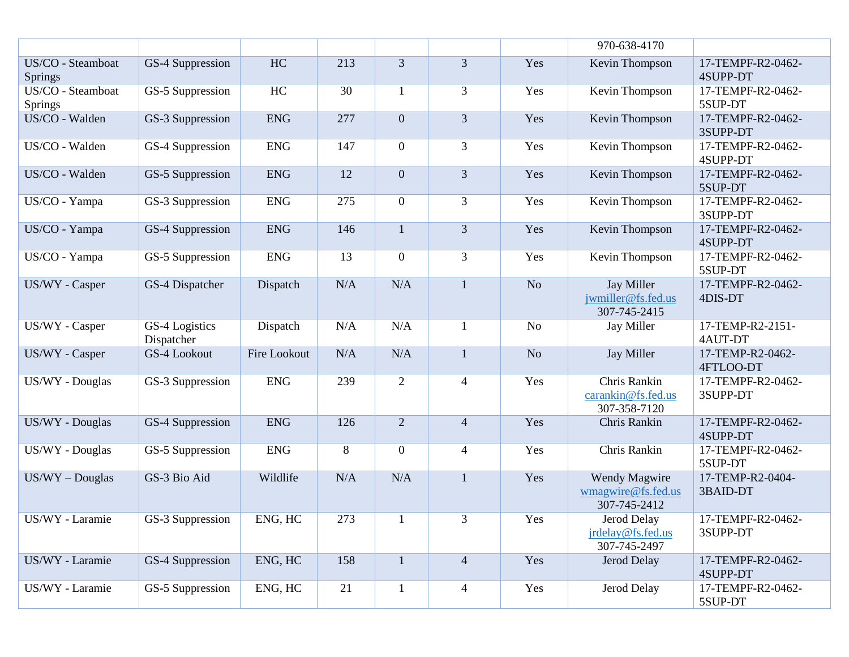|                              |                              |              |     |                  |                |                | 970-638-4170                                            |                               |
|------------------------------|------------------------------|--------------|-----|------------------|----------------|----------------|---------------------------------------------------------|-------------------------------|
| US/CO - Steamboat<br>Springs | GS-4 Suppression             | HC           | 213 | $\overline{3}$   | 3              | Yes            | Kevin Thompson                                          | 17-TEMPF-R2-0462-<br>4SUPP-DT |
| US/CO - Steamboat<br>Springs | GS-5 Suppression             | HC           | 30  | 1                | 3              | Yes            | Kevin Thompson                                          | 17-TEMPF-R2-0462-<br>5SUP-DT  |
| US/CO - Walden               | GS-3 Suppression             | <b>ENG</b>   | 277 | $\boldsymbol{0}$ | $\overline{3}$ | Yes            | <b>Kevin Thompson</b>                                   | 17-TEMPF-R2-0462-<br>3SUPP-DT |
| US/CO - Walden               | GS-4 Suppression             | <b>ENG</b>   | 147 | $\boldsymbol{0}$ | 3              | Yes            | Kevin Thompson                                          | 17-TEMPF-R2-0462-<br>4SUPP-DT |
| US/CO - Walden               | GS-5 Suppression             | <b>ENG</b>   | 12  | $\boldsymbol{0}$ | $\overline{3}$ | Yes            | Kevin Thompson                                          | 17-TEMPF-R2-0462-<br>5SUP-DT  |
| US/CO - Yampa                | GS-3 Suppression             | <b>ENG</b>   | 275 | $\boldsymbol{0}$ | 3              | Yes            | Kevin Thompson                                          | 17-TEMPF-R2-0462-<br>3SUPP-DT |
| US/CO - Yampa                | GS-4 Suppression             | <b>ENG</b>   | 146 | $\mathbf{1}$     | $\overline{3}$ | Yes            | Kevin Thompson                                          | 17-TEMPF-R2-0462-<br>4SUPP-DT |
| US/CO - Yampa                | GS-5 Suppression             | <b>ENG</b>   | 13  | $\boldsymbol{0}$ | $\overline{3}$ | Yes            | Kevin Thompson                                          | 17-TEMPF-R2-0462-<br>5SUP-DT  |
| US/WY - Casper               | GS-4 Dispatcher              | Dispatch     | N/A | N/A              | $\mathbf{1}$   | No             | <b>Jay Miller</b><br>jwmiller@fs.fed.us<br>307-745-2415 | 17-TEMPF-R2-0462-<br>4DIS-DT  |
| US/WY - Casper               | GS-4 Logistics<br>Dispatcher | Dispatch     | N/A | N/A              |                | N <sub>o</sub> | Jay Miller                                              | 17-TEMP-R2-2151-<br>4AUT-DT   |
| US/WY - Casper               | GS-4 Lookout                 | Fire Lookout | N/A | N/A              | $\mathbf{1}$   | No             | Jay Miller                                              | 17-TEMP-R2-0462-<br>4FTLOO-DT |
| US/WY - Douglas              | GS-3 Suppression             | <b>ENG</b>   | 239 | $\overline{2}$   | $\overline{4}$ | Yes            | Chris Rankin<br>carankin@fs.fed.us<br>307-358-7120      | 17-TEMPF-R2-0462-<br>3SUPP-DT |
| US/WY - Douglas              | GS-4 Suppression             | <b>ENG</b>   | 126 | $\overline{2}$   | $\overline{4}$ | Yes            | Chris Rankin                                            | 17-TEMPF-R2-0462-<br>4SUPP-DT |
| US/WY - Douglas              | GS-5 Suppression             | <b>ENG</b>   | 8   | $\boldsymbol{0}$ | $\overline{4}$ | Yes            | Chris Rankin                                            | 17-TEMPF-R2-0462-<br>5SUP-DT  |
| $US/WY - Douglas$            | GS-3 Bio Aid                 | Wildlife     | N/A | N/A              | $\mathbf{1}$   | Yes            | Wendy Magwire<br>wmagwire@fs.fed.us<br>307-745-2412     | 17-TEMP-R2-0404-<br>3BAID-DT  |
| US/WY - Laramie              | GS-3 Suppression             | ENG, HC      | 273 | $\mathbf{1}$     | $\overline{3}$ | Yes            | Jerod Delay<br>jrdelay@fs.fed.us<br>307-745-2497        | 17-TEMPF-R2-0462-<br>3SUPP-DT |
| US/WY - Laramie              | GS-4 Suppression             | ENG, HC      | 158 | $\mathbf{1}$     | $\overline{4}$ | Yes            | Jerod Delay                                             | 17-TEMPF-R2-0462-<br>4SUPP-DT |
| US/WY - Laramie              | GS-5 Suppression             | ENG, HC      | 21  | $\mathbf{1}$     | $\overline{4}$ | Yes            | Jerod Delay                                             | 17-TEMPF-R2-0462-<br>5SUP-DT  |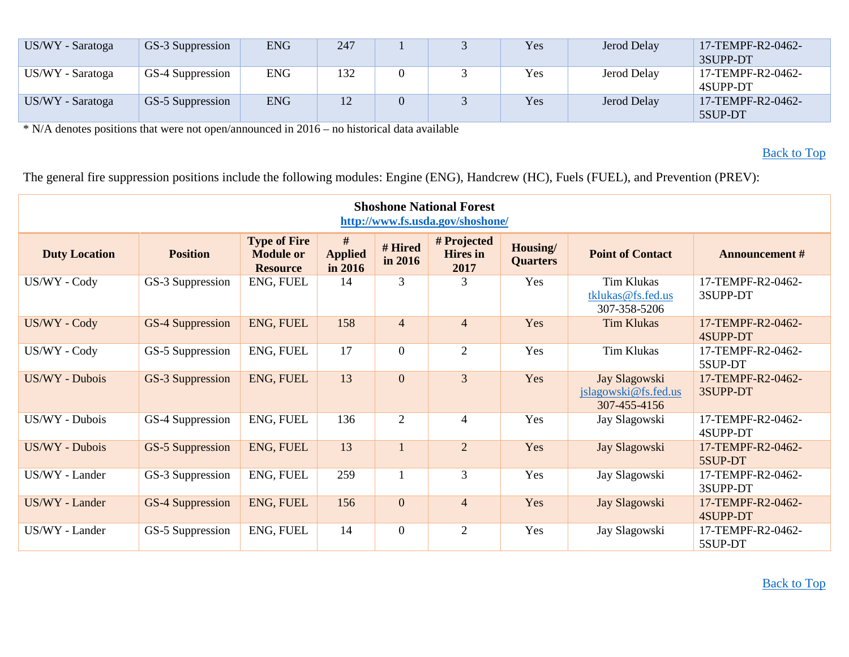| US/WY - Saratoga | GS-3 Suppression | <b>ENG</b> | 247 |  | Yes | Jerod Delay | 17-TEMPF-R2-0462-<br>3SUPP-DT |
|------------------|------------------|------------|-----|--|-----|-------------|-------------------------------|
| US/WY - Saratoga | GS-4 Suppression | <b>ENG</b> | 132 |  | Yes | Jerod Delay | 17-TEMPF-R2-0462-<br>4SUPP-DT |
| US/WY - Saratoga | GS-5 Suppression | <b>ENG</b> | 12  |  | Yes | Jerod Delay | 17-TEMPF-R2-0462-<br>5SUP-DT  |

[Back to Top](#page-0-0)

<span id="page-15-0"></span>

| <b>Shoshone National Forest</b><br>http://www.fs.usda.gov/shoshone/ |                         |                                                            |                                |                    |                                        |                             |                                                        |                               |  |  |  |
|---------------------------------------------------------------------|-------------------------|------------------------------------------------------------|--------------------------------|--------------------|----------------------------------------|-----------------------------|--------------------------------------------------------|-------------------------------|--|--|--|
| <b>Duty Location</b>                                                | <b>Position</b>         | <b>Type of Fire</b><br><b>Module or</b><br><b>Resource</b> | #<br><b>Applied</b><br>in 2016 | # Hired<br>in 2016 | # Projected<br><b>Hires</b> in<br>2017 | Housing/<br><b>Quarters</b> | <b>Point of Contact</b>                                | <b>Announcement #</b>         |  |  |  |
| US/WY - Cody                                                        | GS-3 Suppression        | ENG, FUEL                                                  | 14                             | 3                  | 3                                      | Yes                         | <b>Tim Klukas</b><br>tklukas@fs.fed.us<br>307-358-5206 | 17-TEMPF-R2-0462-<br>3SUPP-DT |  |  |  |
| US/WY - Cody                                                        | <b>GS-4 Suppression</b> | ENG, FUEL                                                  | 158                            | $\overline{4}$     | $\overline{4}$                         | Yes                         | <b>Tim Klukas</b>                                      | 17-TEMPF-R2-0462-<br>4SUPP-DT |  |  |  |
| US/WY - Cody                                                        | GS-5 Suppression        | ENG, FUEL                                                  | 17                             | $\overline{0}$     | $\overline{2}$                         | Yes                         | <b>Tim Klukas</b>                                      | 17-TEMPF-R2-0462-<br>5SUP-DT  |  |  |  |
| US/WY - Dubois                                                      | GS-3 Suppression        | ENG, FUEL                                                  | 13                             | $\overline{0}$     | $\overline{3}$                         | Yes                         | Jay Slagowski<br>jslagowski@fs.fed.us<br>307-455-4156  | 17-TEMPF-R2-0462-<br>3SUPP-DT |  |  |  |
| US/WY - Dubois                                                      | GS-4 Suppression        | ENG, FUEL                                                  | 136                            | $\overline{2}$     | 4                                      | Yes                         | Jay Slagowski                                          | 17-TEMPF-R2-0462-<br>4SUPP-DT |  |  |  |
| US/WY - Dubois                                                      | GS-5 Suppression        | ENG, FUEL                                                  | 13                             |                    | $\overline{2}$                         | Yes                         | Jay Slagowski                                          | 17-TEMPF-R2-0462-<br>5SUP-DT  |  |  |  |
| US/WY - Lander                                                      | GS-3 Suppression        | ENG, FUEL                                                  | 259                            |                    | 3                                      | Yes                         | Jay Slagowski                                          | 17-TEMPF-R2-0462-<br>3SUPP-DT |  |  |  |
| US/WY - Lander                                                      | GS-4 Suppression        | ENG, FUEL                                                  | 156                            | $\overline{0}$     | $\overline{4}$                         | Yes                         | Jay Slagowski                                          | 17-TEMPF-R2-0462-<br>4SUPP-DT |  |  |  |
| US/WY - Lander                                                      | GS-5 Suppression        | ENG, FUEL                                                  | 14                             | $\overline{0}$     | $\overline{2}$                         | Yes                         | Jay Slagowski                                          | 17-TEMPF-R2-0462-<br>5SUP-DT  |  |  |  |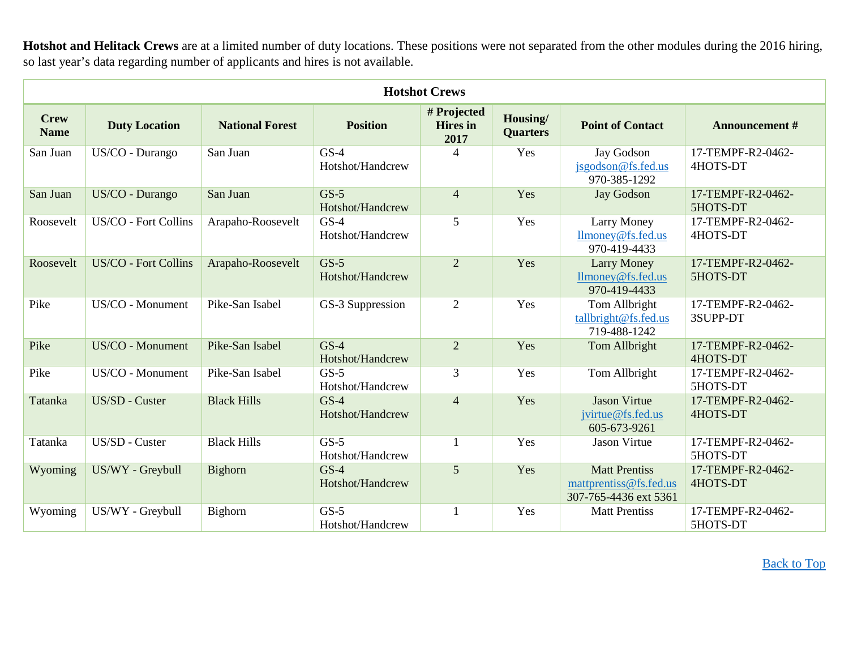**Hotshot and Helitack Crews** are at a limited number of duty locations. These positions were not separated from the other modules during the 2016 hiring, so last year's data regarding number of applicants and hires is not available.

<span id="page-16-0"></span>

|                            | <b>Hotshot Crews</b>        |                        |                            |                                        |                             |                                                                         |                               |  |  |  |  |  |
|----------------------------|-----------------------------|------------------------|----------------------------|----------------------------------------|-----------------------------|-------------------------------------------------------------------------|-------------------------------|--|--|--|--|--|
| <b>Crew</b><br><b>Name</b> | <b>Duty Location</b>        | <b>National Forest</b> | <b>Position</b>            | # Projected<br><b>Hires</b> in<br>2017 | Housing/<br><b>Quarters</b> | <b>Point of Contact</b>                                                 | <b>Announcement #</b>         |  |  |  |  |  |
| San Juan                   | US/CO - Durango             | San Juan               | $GS-4$<br>Hotshot/Handcrew | 4                                      | Yes                         | Jay Godson<br>jsgodson@fs.fed.us<br>970-385-1292                        | 17-TEMPF-R2-0462-<br>4HOTS-DT |  |  |  |  |  |
| San Juan                   | US/CO - Durango             | San Juan               | $GS-5$<br>Hotshot/Handcrew | $\overline{4}$                         | Yes                         | <b>Jay Godson</b>                                                       | 17-TEMPF-R2-0462-<br>5HOTS-DT |  |  |  |  |  |
| Roosevelt                  | US/CO - Fort Collins        | Arapaho-Roosevelt      | $GS-4$<br>Hotshot/Handcrew | 5                                      | Yes                         | <b>Larry Money</b><br>llmoney@fs.fed.us<br>970-419-4433                 | 17-TEMPF-R2-0462-<br>4HOTS-DT |  |  |  |  |  |
| Roosevelt                  | <b>US/CO - Fort Collins</b> | Arapaho-Roosevelt      | $GS-5$<br>Hotshot/Handcrew | $\overline{2}$                         | Yes                         | <b>Larry Money</b><br>llmoney@fs.fed.us<br>970-419-4433                 | 17-TEMPF-R2-0462-<br>5HOTS-DT |  |  |  |  |  |
| Pike                       | US/CO - Monument            | Pike-San Isabel        | GS-3 Suppression           | $\overline{2}$                         | Yes                         | Tom Allbright<br>tallbright@fs.fed.us<br>719-488-1242                   | 17-TEMPF-R2-0462-<br>3SUPP-DT |  |  |  |  |  |
| Pike                       | US/CO - Monument            | Pike-San Isabel        | $GS-4$<br>Hotshot/Handcrew | $\overline{2}$                         | Yes                         | Tom Allbright                                                           | 17-TEMPF-R2-0462-<br>4HOTS-DT |  |  |  |  |  |
| Pike                       | US/CO - Monument            | Pike-San Isabel        | $GS-5$<br>Hotshot/Handcrew | $\overline{3}$                         | Yes                         | Tom Allbright                                                           | 17-TEMPF-R2-0462-<br>5HOTS-DT |  |  |  |  |  |
| Tatanka                    | US/SD - Custer              | <b>Black Hills</b>     | $GS-4$<br>Hotshot/Handcrew | $\overline{4}$                         | Yes                         | <b>Jason Virtue</b><br>jvirtue@fs.fed.us<br>605-673-9261                | 17-TEMPF-R2-0462-<br>4HOTS-DT |  |  |  |  |  |
| Tatanka                    | US/SD - Custer              | <b>Black Hills</b>     | $GS-5$<br>Hotshot/Handcrew | $\mathbf{1}$                           | Yes                         | <b>Jason Virtue</b>                                                     | 17-TEMPF-R2-0462-<br>5HOTS-DT |  |  |  |  |  |
| Wyoming                    | US/WY - Greybull            | <b>Bighorn</b>         | $GS-4$<br>Hotshot/Handcrew | 5                                      | Yes                         | <b>Matt Prentiss</b><br>mattprentiss@fs.fed.us<br>307-765-4436 ext 5361 | 17-TEMPF-R2-0462-<br>4HOTS-DT |  |  |  |  |  |
| Wyoming                    | US/WY - Greybull            | Bighorn                | $GS-5$<br>Hotshot/Handcrew | 1                                      | Yes                         | <b>Matt Prentiss</b>                                                    | 17-TEMPF-R2-0462-<br>5HOTS-DT |  |  |  |  |  |

[Back to Top](#page-0-0)